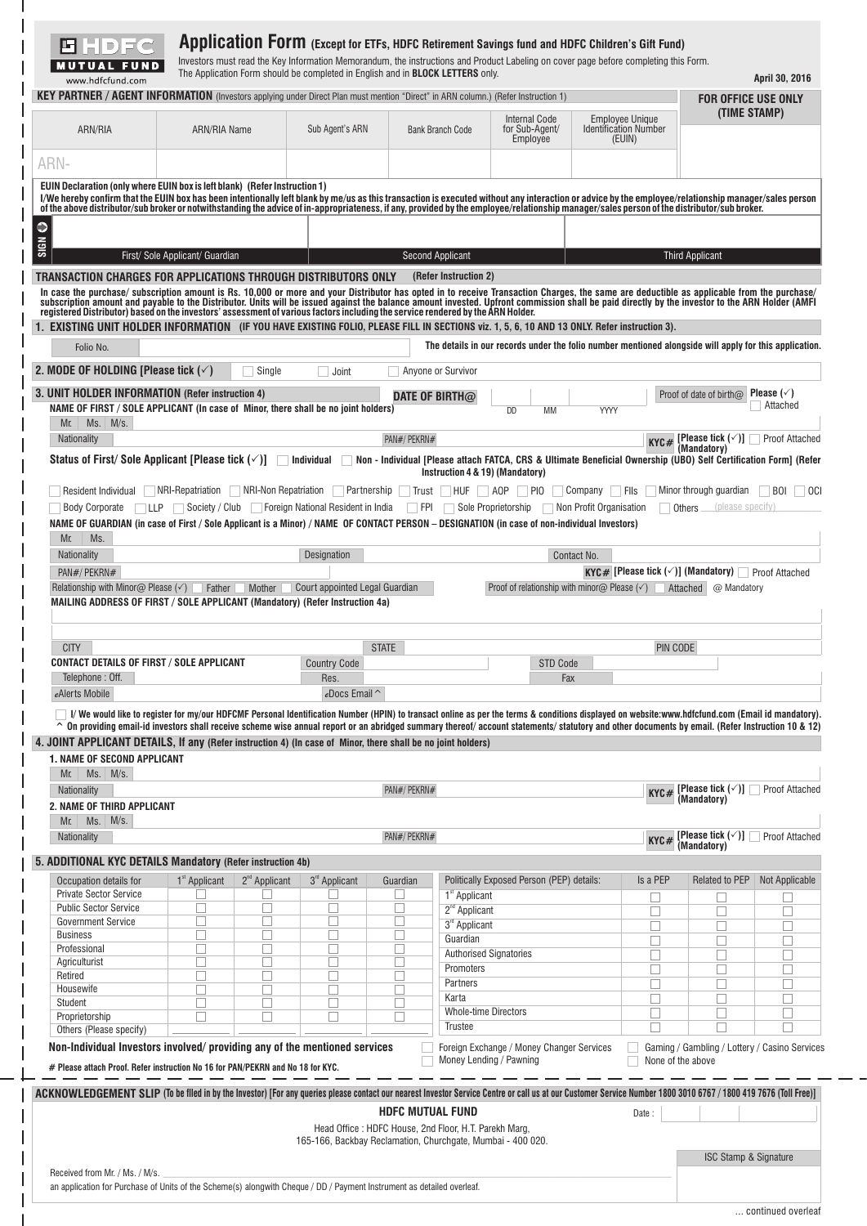| <b>Internal Code</b><br>Employee Unique<br><b>Identification Number</b><br>ARN/RIA<br>for Sub-Agent/<br><b>ARN/RIA Name</b><br>Sub Agent's ARN<br><b>Bank Branch Code</b><br>(EUIN)<br>Employee<br>ARN-<br>EUIN Declaration (only where EUIN box is left blank) (Refer Instruction 1)<br>I/We hereby confirm that the EUIN box has been intentionally left blank by me/us as this transaction is executed without any interaction or advice by the employee/relationship manager/sales person<br>of the above distributor/sub broker or notwithstanding the advice of in-appropriateness, if any, provided by the employee/relationship manager/sales person of the distributor/sub broker.<br>First/ Sole Applicant/ Guardian<br><b>Second Applicant</b><br><b>Third Applicant</b><br>TRANSACTION CHARGES FOR APPLICATIONS THROUGH DISTRIBUTORS ONLY<br>(Refer Instruction 2)<br>In case the purchase/ subscription amount is Rs. 10,000 or more and your Distributor has opted in to receive Transaction Charges, the same are deductible as applicable from the purchase/<br>subscription amount and payable to<br>registered Distributor) based on the investors' assessment of various factors including the service rendered by the ARN Holder.<br>1. EXISTING UNIT HOLDER INFORMATION (IF YOU HAVE EXISTING FOLIO, PLEASE FILL IN SECTIONS viz. 1, 5, 6, 10 AND 13 ONLY. Refer instruction 3).<br>The details in our records under the folio number mentioned alongside will apply for this application.<br>Folio No.<br>2. MODE OF HOLDING [Please tick $(\checkmark)$<br>Single<br>Anyone or Survivor<br>Joint<br>3. UNIT HOLDER INFORMATION (Refer instruction 4)<br>Proof of date of birth $\varpi$<br>DATE OF BIRTH $@$<br>NAME OF FIRST / SOLE APPLICANT (In case of Minor, there shall be no joint holders)<br><b>DD</b><br>YYYY<br>MM<br>$Ms.$ M/s.<br>Mr.<br>[Please tick (√)] ∶<br>Nationality<br>PAN#/ PEKRN#<br>KYC#<br>(Mandatory)<br>Status of First/ Sole Applicant [Please tick $(\checkmark)$ ]<br>Non - Individual [Please attach FATCA, CRS & Ultimate Beneficial Ownership (UBO) Self Certification Form] (Refer<br>Individual<br>Instruction 4 & 19) (Mandatory)<br>NRI-Non Repatriation<br>NRI-Repatriation<br>Partnership<br>Company<br>Minor through guardian<br>Resident Individual<br>∣ Trust<br>HUF AOP<br>∣PIO<br><b>Fils</b><br><b>Body Corporate</b><br>Society / Club<br>Foreign National Resident in India<br><b>TEPI</b><br>Sole Proprietorship<br>Non Profit Organisation<br><b>LLP</b><br>Others<br>NAME OF GUARDIAN (in case of First / Sole Applicant is a Minor) / NAME OF CONTACT PERSON – DESIGNATION (in case of non-individual Investors)<br>Ms.<br>Mr.<br>Designation<br>Nationality<br>Contact No.<br>PAN#/ PEKRN#<br>KYC# [Please tick $(\checkmark)$ ] (Mandatory)  <br>Court appointed Legal Guardian<br>Relationship with Minor@ Please $(\checkmark)$<br>Proof of relationship with minor $\omega$ Please ( $\checkmark$ )<br>Father<br>Mother<br>Attached<br>MAILING ADDRESS OF FIRST / SOLE APPLICANT (Mandatory) (Refer Instruction 4a) | (TIME STAMP)<br>Please $(\sqrt{})$<br>Attached<br>Proof Attached<br><b>BOI</b><br>(please specify)<br>Proof Attached<br>@ Mandatory |
|----------------------------------------------------------------------------------------------------------------------------------------------------------------------------------------------------------------------------------------------------------------------------------------------------------------------------------------------------------------------------------------------------------------------------------------------------------------------------------------------------------------------------------------------------------------------------------------------------------------------------------------------------------------------------------------------------------------------------------------------------------------------------------------------------------------------------------------------------------------------------------------------------------------------------------------------------------------------------------------------------------------------------------------------------------------------------------------------------------------------------------------------------------------------------------------------------------------------------------------------------------------------------------------------------------------------------------------------------------------------------------------------------------------------------------------------------------------------------------------------------------------------------------------------------------------------------------------------------------------------------------------------------------------------------------------------------------------------------------------------------------------------------------------------------------------------------------------------------------------------------------------------------------------------------------------------------------------------------------------------------------------------------------------------------------------------------------------------------------------------------------------------------------------------------------------------------------------------------------------------------------------------------------------------------------------------------------------------------------------------------------------------------------------------------------------------------------------------------------------------------------------------------------------------------------------------------------------------------------------------------------------------------------------------------------------------------------------------------------------------------------------------------------------------------------------------------------------------------------------------------------------------------------------------------------------------------------------------------------------------------------------------------------------------------------------------------------------------------|-------------------------------------------------------------------------------------------------------------------------------------|
|                                                                                                                                                                                                                                                                                                                                                                                                                                                                                                                                                                                                                                                                                                                                                                                                                                                                                                                                                                                                                                                                                                                                                                                                                                                                                                                                                                                                                                                                                                                                                                                                                                                                                                                                                                                                                                                                                                                                                                                                                                                                                                                                                                                                                                                                                                                                                                                                                                                                                                                                                                                                                                                                                                                                                                                                                                                                                                                                                                                                                                                                                                    |                                                                                                                                     |
|                                                                                                                                                                                                                                                                                                                                                                                                                                                                                                                                                                                                                                                                                                                                                                                                                                                                                                                                                                                                                                                                                                                                                                                                                                                                                                                                                                                                                                                                                                                                                                                                                                                                                                                                                                                                                                                                                                                                                                                                                                                                                                                                                                                                                                                                                                                                                                                                                                                                                                                                                                                                                                                                                                                                                                                                                                                                                                                                                                                                                                                                                                    |                                                                                                                                     |
|                                                                                                                                                                                                                                                                                                                                                                                                                                                                                                                                                                                                                                                                                                                                                                                                                                                                                                                                                                                                                                                                                                                                                                                                                                                                                                                                                                                                                                                                                                                                                                                                                                                                                                                                                                                                                                                                                                                                                                                                                                                                                                                                                                                                                                                                                                                                                                                                                                                                                                                                                                                                                                                                                                                                                                                                                                                                                                                                                                                                                                                                                                    |                                                                                                                                     |
|                                                                                                                                                                                                                                                                                                                                                                                                                                                                                                                                                                                                                                                                                                                                                                                                                                                                                                                                                                                                                                                                                                                                                                                                                                                                                                                                                                                                                                                                                                                                                                                                                                                                                                                                                                                                                                                                                                                                                                                                                                                                                                                                                                                                                                                                                                                                                                                                                                                                                                                                                                                                                                                                                                                                                                                                                                                                                                                                                                                                                                                                                                    |                                                                                                                                     |
|                                                                                                                                                                                                                                                                                                                                                                                                                                                                                                                                                                                                                                                                                                                                                                                                                                                                                                                                                                                                                                                                                                                                                                                                                                                                                                                                                                                                                                                                                                                                                                                                                                                                                                                                                                                                                                                                                                                                                                                                                                                                                                                                                                                                                                                                                                                                                                                                                                                                                                                                                                                                                                                                                                                                                                                                                                                                                                                                                                                                                                                                                                    |                                                                                                                                     |
|                                                                                                                                                                                                                                                                                                                                                                                                                                                                                                                                                                                                                                                                                                                                                                                                                                                                                                                                                                                                                                                                                                                                                                                                                                                                                                                                                                                                                                                                                                                                                                                                                                                                                                                                                                                                                                                                                                                                                                                                                                                                                                                                                                                                                                                                                                                                                                                                                                                                                                                                                                                                                                                                                                                                                                                                                                                                                                                                                                                                                                                                                                    |                                                                                                                                     |
|                                                                                                                                                                                                                                                                                                                                                                                                                                                                                                                                                                                                                                                                                                                                                                                                                                                                                                                                                                                                                                                                                                                                                                                                                                                                                                                                                                                                                                                                                                                                                                                                                                                                                                                                                                                                                                                                                                                                                                                                                                                                                                                                                                                                                                                                                                                                                                                                                                                                                                                                                                                                                                                                                                                                                                                                                                                                                                                                                                                                                                                                                                    |                                                                                                                                     |
|                                                                                                                                                                                                                                                                                                                                                                                                                                                                                                                                                                                                                                                                                                                                                                                                                                                                                                                                                                                                                                                                                                                                                                                                                                                                                                                                                                                                                                                                                                                                                                                                                                                                                                                                                                                                                                                                                                                                                                                                                                                                                                                                                                                                                                                                                                                                                                                                                                                                                                                                                                                                                                                                                                                                                                                                                                                                                                                                                                                                                                                                                                    |                                                                                                                                     |
|                                                                                                                                                                                                                                                                                                                                                                                                                                                                                                                                                                                                                                                                                                                                                                                                                                                                                                                                                                                                                                                                                                                                                                                                                                                                                                                                                                                                                                                                                                                                                                                                                                                                                                                                                                                                                                                                                                                                                                                                                                                                                                                                                                                                                                                                                                                                                                                                                                                                                                                                                                                                                                                                                                                                                                                                                                                                                                                                                                                                                                                                                                    |                                                                                                                                     |
|                                                                                                                                                                                                                                                                                                                                                                                                                                                                                                                                                                                                                                                                                                                                                                                                                                                                                                                                                                                                                                                                                                                                                                                                                                                                                                                                                                                                                                                                                                                                                                                                                                                                                                                                                                                                                                                                                                                                                                                                                                                                                                                                                                                                                                                                                                                                                                                                                                                                                                                                                                                                                                                                                                                                                                                                                                                                                                                                                                                                                                                                                                    |                                                                                                                                     |
|                                                                                                                                                                                                                                                                                                                                                                                                                                                                                                                                                                                                                                                                                                                                                                                                                                                                                                                                                                                                                                                                                                                                                                                                                                                                                                                                                                                                                                                                                                                                                                                                                                                                                                                                                                                                                                                                                                                                                                                                                                                                                                                                                                                                                                                                                                                                                                                                                                                                                                                                                                                                                                                                                                                                                                                                                                                                                                                                                                                                                                                                                                    |                                                                                                                                     |
|                                                                                                                                                                                                                                                                                                                                                                                                                                                                                                                                                                                                                                                                                                                                                                                                                                                                                                                                                                                                                                                                                                                                                                                                                                                                                                                                                                                                                                                                                                                                                                                                                                                                                                                                                                                                                                                                                                                                                                                                                                                                                                                                                                                                                                                                                                                                                                                                                                                                                                                                                                                                                                                                                                                                                                                                                                                                                                                                                                                                                                                                                                    |                                                                                                                                     |
|                                                                                                                                                                                                                                                                                                                                                                                                                                                                                                                                                                                                                                                                                                                                                                                                                                                                                                                                                                                                                                                                                                                                                                                                                                                                                                                                                                                                                                                                                                                                                                                                                                                                                                                                                                                                                                                                                                                                                                                                                                                                                                                                                                                                                                                                                                                                                                                                                                                                                                                                                                                                                                                                                                                                                                                                                                                                                                                                                                                                                                                                                                    |                                                                                                                                     |
|                                                                                                                                                                                                                                                                                                                                                                                                                                                                                                                                                                                                                                                                                                                                                                                                                                                                                                                                                                                                                                                                                                                                                                                                                                                                                                                                                                                                                                                                                                                                                                                                                                                                                                                                                                                                                                                                                                                                                                                                                                                                                                                                                                                                                                                                                                                                                                                                                                                                                                                                                                                                                                                                                                                                                                                                                                                                                                                                                                                                                                                                                                    |                                                                                                                                     |
|                                                                                                                                                                                                                                                                                                                                                                                                                                                                                                                                                                                                                                                                                                                                                                                                                                                                                                                                                                                                                                                                                                                                                                                                                                                                                                                                                                                                                                                                                                                                                                                                                                                                                                                                                                                                                                                                                                                                                                                                                                                                                                                                                                                                                                                                                                                                                                                                                                                                                                                                                                                                                                                                                                                                                                                                                                                                                                                                                                                                                                                                                                    |                                                                                                                                     |
|                                                                                                                                                                                                                                                                                                                                                                                                                                                                                                                                                                                                                                                                                                                                                                                                                                                                                                                                                                                                                                                                                                                                                                                                                                                                                                                                                                                                                                                                                                                                                                                                                                                                                                                                                                                                                                                                                                                                                                                                                                                                                                                                                                                                                                                                                                                                                                                                                                                                                                                                                                                                                                                                                                                                                                                                                                                                                                                                                                                                                                                                                                    |                                                                                                                                     |
|                                                                                                                                                                                                                                                                                                                                                                                                                                                                                                                                                                                                                                                                                                                                                                                                                                                                                                                                                                                                                                                                                                                                                                                                                                                                                                                                                                                                                                                                                                                                                                                                                                                                                                                                                                                                                                                                                                                                                                                                                                                                                                                                                                                                                                                                                                                                                                                                                                                                                                                                                                                                                                                                                                                                                                                                                                                                                                                                                                                                                                                                                                    |                                                                                                                                     |
|                                                                                                                                                                                                                                                                                                                                                                                                                                                                                                                                                                                                                                                                                                                                                                                                                                                                                                                                                                                                                                                                                                                                                                                                                                                                                                                                                                                                                                                                                                                                                                                                                                                                                                                                                                                                                                                                                                                                                                                                                                                                                                                                                                                                                                                                                                                                                                                                                                                                                                                                                                                                                                                                                                                                                                                                                                                                                                                                                                                                                                                                                                    |                                                                                                                                     |
|                                                                                                                                                                                                                                                                                                                                                                                                                                                                                                                                                                                                                                                                                                                                                                                                                                                                                                                                                                                                                                                                                                                                                                                                                                                                                                                                                                                                                                                                                                                                                                                                                                                                                                                                                                                                                                                                                                                                                                                                                                                                                                                                                                                                                                                                                                                                                                                                                                                                                                                                                                                                                                                                                                                                                                                                                                                                                                                                                                                                                                                                                                    |                                                                                                                                     |
|                                                                                                                                                                                                                                                                                                                                                                                                                                                                                                                                                                                                                                                                                                                                                                                                                                                                                                                                                                                                                                                                                                                                                                                                                                                                                                                                                                                                                                                                                                                                                                                                                                                                                                                                                                                                                                                                                                                                                                                                                                                                                                                                                                                                                                                                                                                                                                                                                                                                                                                                                                                                                                                                                                                                                                                                                                                                                                                                                                                                                                                                                                    |                                                                                                                                     |
| <b>CITY</b><br><b>STATE</b><br>PIN CODE<br><b>CONTACT DETAILS OF FIRST / SOLE APPLICANT</b><br><b>Country Code</b><br>STD Code                                                                                                                                                                                                                                                                                                                                                                                                                                                                                                                                                                                                                                                                                                                                                                                                                                                                                                                                                                                                                                                                                                                                                                                                                                                                                                                                                                                                                                                                                                                                                                                                                                                                                                                                                                                                                                                                                                                                                                                                                                                                                                                                                                                                                                                                                                                                                                                                                                                                                                                                                                                                                                                                                                                                                                                                                                                                                                                                                                     |                                                                                                                                     |
| Telephone: Off.<br>Res.<br>Fax<br>eAlerts Mobile<br>eDocs Email ^                                                                                                                                                                                                                                                                                                                                                                                                                                                                                                                                                                                                                                                                                                                                                                                                                                                                                                                                                                                                                                                                                                                                                                                                                                                                                                                                                                                                                                                                                                                                                                                                                                                                                                                                                                                                                                                                                                                                                                                                                                                                                                                                                                                                                                                                                                                                                                                                                                                                                                                                                                                                                                                                                                                                                                                                                                                                                                                                                                                                                                  |                                                                                                                                     |
| TV We would like to register for my/our HDFCMF Personal Identification Number (HPIN) to transact online as per the terms & conditions displayed on website:www.hdfcfund.com (Email id mandatory).                                                                                                                                                                                                                                                                                                                                                                                                                                                                                                                                                                                                                                                                                                                                                                                                                                                                                                                                                                                                                                                                                                                                                                                                                                                                                                                                                                                                                                                                                                                                                                                                                                                                                                                                                                                                                                                                                                                                                                                                                                                                                                                                                                                                                                                                                                                                                                                                                                                                                                                                                                                                                                                                                                                                                                                                                                                                                                  |                                                                                                                                     |
| ^ On providing email-id investors shall receive scheme wise annual report or an abridged summary thereof/ account statements/ statutory and other documents by email. (Refer Instruction 10 & 12)                                                                                                                                                                                                                                                                                                                                                                                                                                                                                                                                                                                                                                                                                                                                                                                                                                                                                                                                                                                                                                                                                                                                                                                                                                                                                                                                                                                                                                                                                                                                                                                                                                                                                                                                                                                                                                                                                                                                                                                                                                                                                                                                                                                                                                                                                                                                                                                                                                                                                                                                                                                                                                                                                                                                                                                                                                                                                                  |                                                                                                                                     |
| 4. JOINT APPLICANT DETAILS, If any (Refer instruction 4) (In case of Minor, there shall be no joint holders)<br>1. NAME OF SECOND APPLICANT                                                                                                                                                                                                                                                                                                                                                                                                                                                                                                                                                                                                                                                                                                                                                                                                                                                                                                                                                                                                                                                                                                                                                                                                                                                                                                                                                                                                                                                                                                                                                                                                                                                                                                                                                                                                                                                                                                                                                                                                                                                                                                                                                                                                                                                                                                                                                                                                                                                                                                                                                                                                                                                                                                                                                                                                                                                                                                                                                        |                                                                                                                                     |
| Mr.<br>$Ms.$ M/s.                                                                                                                                                                                                                                                                                                                                                                                                                                                                                                                                                                                                                                                                                                                                                                                                                                                                                                                                                                                                                                                                                                                                                                                                                                                                                                                                                                                                                                                                                                                                                                                                                                                                                                                                                                                                                                                                                                                                                                                                                                                                                                                                                                                                                                                                                                                                                                                                                                                                                                                                                                                                                                                                                                                                                                                                                                                                                                                                                                                                                                                                                  |                                                                                                                                     |
| <b>KYC#</b> [Please tick $(\checkmark)$ ]<br>PAN#/ PEKRN#<br>Nationality                                                                                                                                                                                                                                                                                                                                                                                                                                                                                                                                                                                                                                                                                                                                                                                                                                                                                                                                                                                                                                                                                                                                                                                                                                                                                                                                                                                                                                                                                                                                                                                                                                                                                                                                                                                                                                                                                                                                                                                                                                                                                                                                                                                                                                                                                                                                                                                                                                                                                                                                                                                                                                                                                                                                                                                                                                                                                                                                                                                                                           | <b>Proof Attached</b>                                                                                                               |
| <b>2. NAME OF THIRD APPLICANT</b><br>$Ms.$ $M/s.$<br>Mr.                                                                                                                                                                                                                                                                                                                                                                                                                                                                                                                                                                                                                                                                                                                                                                                                                                                                                                                                                                                                                                                                                                                                                                                                                                                                                                                                                                                                                                                                                                                                                                                                                                                                                                                                                                                                                                                                                                                                                                                                                                                                                                                                                                                                                                                                                                                                                                                                                                                                                                                                                                                                                                                                                                                                                                                                                                                                                                                                                                                                                                           |                                                                                                                                     |
| PAN#/PEKRN#<br>Nationality<br>KYC#                                                                                                                                                                                                                                                                                                                                                                                                                                                                                                                                                                                                                                                                                                                                                                                                                                                                                                                                                                                                                                                                                                                                                                                                                                                                                                                                                                                                                                                                                                                                                                                                                                                                                                                                                                                                                                                                                                                                                                                                                                                                                                                                                                                                                                                                                                                                                                                                                                                                                                                                                                                                                                                                                                                                                                                                                                                                                                                                                                                                                                                                 | (Mandatory)                                                                                                                         |
| 5. ADDITIONAL KYC DETAILS Mandatory (Refer instruction 4b)                                                                                                                                                                                                                                                                                                                                                                                                                                                                                                                                                                                                                                                                                                                                                                                                                                                                                                                                                                                                                                                                                                                                                                                                                                                                                                                                                                                                                                                                                                                                                                                                                                                                                                                                                                                                                                                                                                                                                                                                                                                                                                                                                                                                                                                                                                                                                                                                                                                                                                                                                                                                                                                                                                                                                                                                                                                                                                                                                                                                                                         | [Please tick $(\check{\phantom{a}})$ ] $\Box$                                                                                       |
|                                                                                                                                                                                                                                                                                                                                                                                                                                                                                                                                                                                                                                                                                                                                                                                                                                                                                                                                                                                                                                                                                                                                                                                                                                                                                                                                                                                                                                                                                                                                                                                                                                                                                                                                                                                                                                                                                                                                                                                                                                                                                                                                                                                                                                                                                                                                                                                                                                                                                                                                                                                                                                                                                                                                                                                                                                                                                                                                                                                                                                                                                                    | (Mandatory)                                                                                                                         |
| Politically Exposed Person (PEP) details:<br>$1st$ Applicant<br>$2nd$ Applicant<br>3 <sup>rd</sup> Applicant<br>Guardian<br>Is a PEP                                                                                                                                                                                                                                                                                                                                                                                                                                                                                                                                                                                                                                                                                                                                                                                                                                                                                                                                                                                                                                                                                                                                                                                                                                                                                                                                                                                                                                                                                                                                                                                                                                                                                                                                                                                                                                                                                                                                                                                                                                                                                                                                                                                                                                                                                                                                                                                                                                                                                                                                                                                                                                                                                                                                                                                                                                                                                                                                                               | <b>Related to PEP</b>                                                                                                               |
| Occupation details for<br><b>Private Sector Service</b><br>L.<br>H<br>1 <sup>st</sup> Applicant<br>$\overline{\phantom{a}}$                                                                                                                                                                                                                                                                                                                                                                                                                                                                                                                                                                                                                                                                                                                                                                                                                                                                                                                                                                                                                                                                                                                                                                                                                                                                                                                                                                                                                                                                                                                                                                                                                                                                                                                                                                                                                                                                                                                                                                                                                                                                                                                                                                                                                                                                                                                                                                                                                                                                                                                                                                                                                                                                                                                                                                                                                                                                                                                                                                        | <b>Proof Attached</b><br>Not Applicable                                                                                             |
| <b>Public Sector Service</b><br>П<br>Г<br>Г<br>П<br>2 <sup>nd</sup> Applicant<br>П<br>П<br>Г<br>П<br>П                                                                                                                                                                                                                                                                                                                                                                                                                                                                                                                                                                                                                                                                                                                                                                                                                                                                                                                                                                                                                                                                                                                                                                                                                                                                                                                                                                                                                                                                                                                                                                                                                                                                                                                                                                                                                                                                                                                                                                                                                                                                                                                                                                                                                                                                                                                                                                                                                                                                                                                                                                                                                                                                                                                                                                                                                                                                                                                                                                                             | П                                                                                                                                   |
| □<br>3 <sup>rd</sup> Applicant<br>$\Box$<br>П<br>$\Box$                                                                                                                                                                                                                                                                                                                                                                                                                                                                                                                                                                                                                                                                                                                                                                                                                                                                                                                                                                                                                                                                                                                                                                                                                                                                                                                                                                                                                                                                                                                                                                                                                                                                                                                                                                                                                                                                                                                                                                                                                                                                                                                                                                                                                                                                                                                                                                                                                                                                                                                                                                                                                                                                                                                                                                                                                                                                                                                                                                                                                                            |                                                                                                                                     |
| Guardian<br>$\Box$<br>$\overline{\phantom{a}}$<br>П<br><b>Authorised Signatories</b><br>П                                                                                                                                                                                                                                                                                                                                                                                                                                                                                                                                                                                                                                                                                                                                                                                                                                                                                                                                                                                                                                                                                                                                                                                                                                                                                                                                                                                                                                                                                                                                                                                                                                                                                                                                                                                                                                                                                                                                                                                                                                                                                                                                                                                                                                                                                                                                                                                                                                                                                                                                                                                                                                                                                                                                                                                                                                                                                                                                                                                                          | $\overline{\phantom{a}}$<br>П                                                                                                       |
| <b>Business</b><br>П<br>П<br>Promoters<br>П                                                                                                                                                                                                                                                                                                                                                                                                                                                                                                                                                                                                                                                                                                                                                                                                                                                                                                                                                                                                                                                                                                                                                                                                                                                                                                                                                                                                                                                                                                                                                                                                                                                                                                                                                                                                                                                                                                                                                                                                                                                                                                                                                                                                                                                                                                                                                                                                                                                                                                                                                                                                                                                                                                                                                                                                                                                                                                                                                                                                                                                        |                                                                                                                                     |
| $\overline{\phantom{a}}$<br>п<br>$\Box$<br>ш<br>Partners<br>$\overline{\phantom{a}}$<br>Г<br>□<br>$\Box$<br>$\Box$                                                                                                                                                                                                                                                                                                                                                                                                                                                                                                                                                                                                                                                                                                                                                                                                                                                                                                                                                                                                                                                                                                                                                                                                                                                                                                                                                                                                                                                                                                                                                                                                                                                                                                                                                                                                                                                                                                                                                                                                                                                                                                                                                                                                                                                                                                                                                                                                                                                                                                                                                                                                                                                                                                                                                                                                                                                                                                                                                                                 |                                                                                                                                     |
| Karta<br>П<br>П<br>Г<br>Г<br>$\Box$                                                                                                                                                                                                                                                                                                                                                                                                                                                                                                                                                                                                                                                                                                                                                                                                                                                                                                                                                                                                                                                                                                                                                                                                                                                                                                                                                                                                                                                                                                                                                                                                                                                                                                                                                                                                                                                                                                                                                                                                                                                                                                                                                                                                                                                                                                                                                                                                                                                                                                                                                                                                                                                                                                                                                                                                                                                                                                                                                                                                                                                                |                                                                                                                                     |
| <b>Government Service</b><br>Professional<br>Agriculturist<br>Retired<br>Housewife<br>Student<br><b>Whole-time Directors</b><br>Proprietorship                                                                                                                                                                                                                                                                                                                                                                                                                                                                                                                                                                                                                                                                                                                                                                                                                                                                                                                                                                                                                                                                                                                                                                                                                                                                                                                                                                                                                                                                                                                                                                                                                                                                                                                                                                                                                                                                                                                                                                                                                                                                                                                                                                                                                                                                                                                                                                                                                                                                                                                                                                                                                                                                                                                                                                                                                                                                                                                                                     |                                                                                                                                     |
| Trustee                                                                                                                                                                                                                                                                                                                                                                                                                                                                                                                                                                                                                                                                                                                                                                                                                                                                                                                                                                                                                                                                                                                                                                                                                                                                                                                                                                                                                                                                                                                                                                                                                                                                                                                                                                                                                                                                                                                                                                                                                                                                                                                                                                                                                                                                                                                                                                                                                                                                                                                                                                                                                                                                                                                                                                                                                                                                                                                                                                                                                                                                                            |                                                                                                                                     |
| Foreign Exchange / Money Changer Services<br>Money Lending / Pawning<br>None of the above                                                                                                                                                                                                                                                                                                                                                                                                                                                                                                                                                                                                                                                                                                                                                                                                                                                                                                                                                                                                                                                                                                                                                                                                                                                                                                                                                                                                                                                                                                                                                                                                                                                                                                                                                                                                                                                                                                                                                                                                                                                                                                                                                                                                                                                                                                                                                                                                                                                                                                                                                                                                                                                                                                                                                                                                                                                                                                                                                                                                          |                                                                                                                                     |
| Others (Please specify)<br>Non-Individual Investors involved/ providing any of the mentioned services<br># Please attach Proof. Refer instruction No 16 for PAN/PEKRN and No 18 for KYC.                                                                                                                                                                                                                                                                                                                                                                                                                                                                                                                                                                                                                                                                                                                                                                                                                                                                                                                                                                                                                                                                                                                                                                                                                                                                                                                                                                                                                                                                                                                                                                                                                                                                                                                                                                                                                                                                                                                                                                                                                                                                                                                                                                                                                                                                                                                                                                                                                                                                                                                                                                                                                                                                                                                                                                                                                                                                                                           | Gaming / Gambling / Lottery / Casino Services                                                                                       |
| ACKNOWLEDGEMENT SLIP (To be filed in by the Investor) [For any queries please contact our nearest Investor Service Centre or call us at our Customer Service Number 1800 3010 6767 / 1800 419 7676 (Toll Free)]<br><b>HDFC MUTUAL FUND</b><br>Date:                                                                                                                                                                                                                                                                                                                                                                                                                                                                                                                                                                                                                                                                                                                                                                                                                                                                                                                                                                                                                                                                                                                                                                                                                                                                                                                                                                                                                                                                                                                                                                                                                                                                                                                                                                                                                                                                                                                                                                                                                                                                                                                                                                                                                                                                                                                                                                                                                                                                                                                                                                                                                                                                                                                                                                                                                                                |                                                                                                                                     |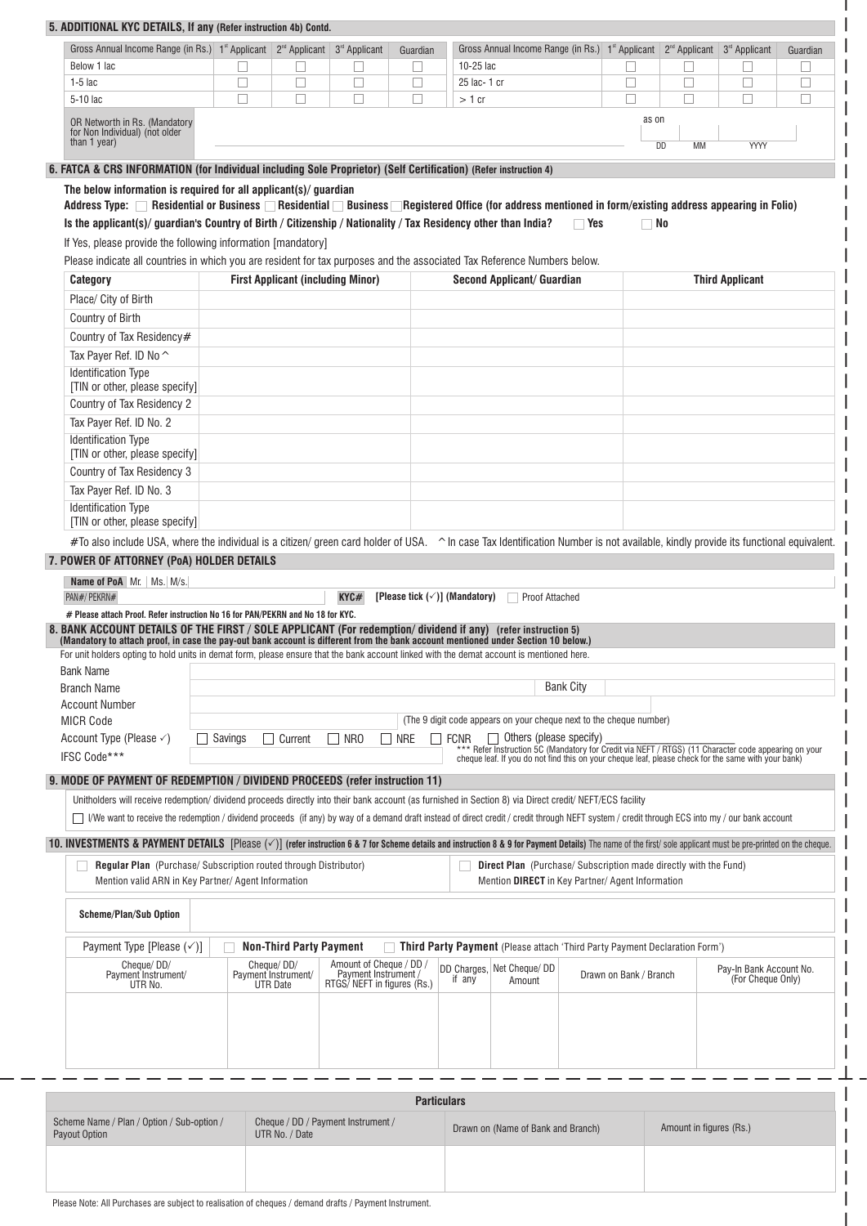| 5. ADDITIONAL KYC DETAILS, If any (Refer instruction 4b) Contd.                                                                                                                                                                                                                                                                                                                                 |                |                                          |                                                     |            |                                           |                                                                                                                                                                                                          |                         |          |                         |          |
|-------------------------------------------------------------------------------------------------------------------------------------------------------------------------------------------------------------------------------------------------------------------------------------------------------------------------------------------------------------------------------------------------|----------------|------------------------------------------|-----------------------------------------------------|------------|-------------------------------------------|----------------------------------------------------------------------------------------------------------------------------------------------------------------------------------------------------------|-------------------------|----------|-------------------------|----------|
| Gross Annual Income Range (in Rs.) 1 <sup>st</sup> Applicant 2 <sup>nd</sup> Applicant 3 <sup>rd</sup> Applicant                                                                                                                                                                                                                                                                                |                |                                          |                                                     | Guardian   |                                           | Gross Annual Income Range (in Rs.) 1st Applicant 2 <sup>nd</sup> Applicant 3 <sup>rd</sup> Applicant                                                                                                     |                         |          |                         | Guardian |
| Below 1 lac                                                                                                                                                                                                                                                                                                                                                                                     | ⊔              |                                          |                                                     |            | 10-25 lac                                 |                                                                                                                                                                                                          |                         |          |                         |          |
| $1-5$ lac                                                                                                                                                                                                                                                                                                                                                                                       | $\Box$         | □                                        | $\overline{\phantom{a}}$                            | □          | 25 lac- 1 cr                              |                                                                                                                                                                                                          | $\Box$                  | □        | $\Box$                  | $\Box$   |
| 5-10 lac                                                                                                                                                                                                                                                                                                                                                                                        | $\Box$         | П                                        | П                                                   | □          | $>1$ cr                                   |                                                                                                                                                                                                          | □                       | П        | П                       | $\Box$   |
| OR Networth in Rs. (Mandatory<br>for Non Individual) (not older<br>than 1 year)                                                                                                                                                                                                                                                                                                                 |                |                                          |                                                     |            |                                           |                                                                                                                                                                                                          | as on                   | DD<br>МM | YYYY                    |          |
| 6. FATCA & CRS INFORMATION (for Individual including Sole Proprietor) (Self Certification) (Refer instruction 4)                                                                                                                                                                                                                                                                                |                |                                          |                                                     |            |                                           |                                                                                                                                                                                                          |                         |          |                         |          |
| The below information is required for all applicant(s)/ guardian                                                                                                                                                                                                                                                                                                                                |                |                                          |                                                     |            |                                           |                                                                                                                                                                                                          |                         |          |                         |          |
| Address Type: Residential or Business Residential Business Registered Office (for address mentioned in form/existing address appearing in Folio)                                                                                                                                                                                                                                                |                |                                          |                                                     |            |                                           |                                                                                                                                                                                                          |                         |          |                         |          |
| Is the applicant(s)/guardian's Country of Birth / Citizenship / Nationality / Tax Residency other than India?                                                                                                                                                                                                                                                                                   |                |                                          |                                                     |            |                                           |                                                                                                                                                                                                          | $\Box$ Yes<br>$\Box$ No |          |                         |          |
| If Yes, please provide the following information [mandatory]                                                                                                                                                                                                                                                                                                                                    |                |                                          |                                                     |            |                                           |                                                                                                                                                                                                          |                         |          |                         |          |
| Please indicate all countries in which you are resident for tax purposes and the associated Tax Reference Numbers below.                                                                                                                                                                                                                                                                        |                |                                          |                                                     |            |                                           |                                                                                                                                                                                                          |                         |          |                         |          |
| Category                                                                                                                                                                                                                                                                                                                                                                                        |                | <b>First Applicant (including Minor)</b> |                                                     |            |                                           | Second Applicant/ Guardian                                                                                                                                                                               |                         |          | <b>Third Applicant</b>  |          |
| Place/ City of Birth                                                                                                                                                                                                                                                                                                                                                                            |                |                                          |                                                     |            |                                           |                                                                                                                                                                                                          |                         |          |                         |          |
| Country of Birth                                                                                                                                                                                                                                                                                                                                                                                |                |                                          |                                                     |            |                                           |                                                                                                                                                                                                          |                         |          |                         |          |
|                                                                                                                                                                                                                                                                                                                                                                                                 |                |                                          |                                                     |            |                                           |                                                                                                                                                                                                          |                         |          |                         |          |
| Country of Tax Residency#                                                                                                                                                                                                                                                                                                                                                                       |                |                                          |                                                     |            |                                           |                                                                                                                                                                                                          |                         |          |                         |          |
| Tax Payer Ref. ID No ^                                                                                                                                                                                                                                                                                                                                                                          |                |                                          |                                                     |            |                                           |                                                                                                                                                                                                          |                         |          |                         |          |
| <b>Identification Type</b><br>[TIN or other, please specify]                                                                                                                                                                                                                                                                                                                                    |                |                                          |                                                     |            |                                           |                                                                                                                                                                                                          |                         |          |                         |          |
| Country of Tax Residency 2                                                                                                                                                                                                                                                                                                                                                                      |                |                                          |                                                     |            |                                           |                                                                                                                                                                                                          |                         |          |                         |          |
|                                                                                                                                                                                                                                                                                                                                                                                                 |                |                                          |                                                     |            |                                           |                                                                                                                                                                                                          |                         |          |                         |          |
| Tax Payer Ref. ID No. 2<br><b>Identification Type</b>                                                                                                                                                                                                                                                                                                                                           |                |                                          |                                                     |            |                                           |                                                                                                                                                                                                          |                         |          |                         |          |
| [TIN or other, please specify]                                                                                                                                                                                                                                                                                                                                                                  |                |                                          |                                                     |            |                                           |                                                                                                                                                                                                          |                         |          |                         |          |
| Country of Tax Residency 3                                                                                                                                                                                                                                                                                                                                                                      |                |                                          |                                                     |            |                                           |                                                                                                                                                                                                          |                         |          |                         |          |
| Tax Payer Ref. ID No. 3                                                                                                                                                                                                                                                                                                                                                                         |                |                                          |                                                     |            |                                           |                                                                                                                                                                                                          |                         |          |                         |          |
| <b>Identification Type</b>                                                                                                                                                                                                                                                                                                                                                                      |                |                                          |                                                     |            |                                           |                                                                                                                                                                                                          |                         |          |                         |          |
| [TIN or other, please specify]                                                                                                                                                                                                                                                                                                                                                                  |                |                                          |                                                     |            |                                           |                                                                                                                                                                                                          |                         |          |                         |          |
| #To also include USA, where the individual is a citizen/ green card holder of USA. ^ In case Tax Identification Number is not available, kindly provide its functional equivalent.                                                                                                                                                                                                              |                |                                          |                                                     |            |                                           |                                                                                                                                                                                                          |                         |          |                         |          |
| 7. POWER OF ATTORNEY (PoA) HOLDER DETAILS                                                                                                                                                                                                                                                                                                                                                       |                |                                          |                                                     |            |                                           |                                                                                                                                                                                                          |                         |          |                         |          |
| Name of PoA Mr.   Ms.   M/s.                                                                                                                                                                                                                                                                                                                                                                    |                |                                          |                                                     |            |                                           |                                                                                                                                                                                                          |                         |          |                         |          |
| PAN#/ PEKRN#                                                                                                                                                                                                                                                                                                                                                                                    |                |                                          | KYC#                                                |            | [Please tick $(\checkmark)$ ] (Mandatory) | Proof Attached                                                                                                                                                                                           |                         |          |                         |          |
| # Please attach Proof. Refer instruction No 16 for PAN/PEKRN and No 18 for KYC.                                                                                                                                                                                                                                                                                                                 |                |                                          |                                                     |            |                                           |                                                                                                                                                                                                          |                         |          |                         |          |
| 8. BANK ACCOUNT DETAILS OF THE FIRST / SOLE APPLICANT (For redemption/dividend if any) (refer instruction 5)<br>(Mandatory to attach proof, in case the pay-out bank account is different from the bank account mentioned under Section 10 below.)<br>For unit holders opting to hold units in demat form, please ensure that the bank account linked with the demat account is mentioned here. |                |                                          |                                                     |            |                                           |                                                                                                                                                                                                          |                         |          |                         |          |
| <b>Bank Name</b>                                                                                                                                                                                                                                                                                                                                                                                |                |                                          |                                                     |            |                                           |                                                                                                                                                                                                          |                         |          |                         |          |
| <b>Branch Name</b>                                                                                                                                                                                                                                                                                                                                                                              |                |                                          |                                                     |            |                                           | <b>Bank City</b>                                                                                                                                                                                         |                         |          |                         |          |
| <b>Account Number</b>                                                                                                                                                                                                                                                                                                                                                                           |                |                                          |                                                     |            |                                           |                                                                                                                                                                                                          |                         |          |                         |          |
| <b>MICR Code</b>                                                                                                                                                                                                                                                                                                                                                                                |                |                                          |                                                     |            |                                           | (The 9 digit code appears on your cheque next to the cheque number)                                                                                                                                      |                         |          |                         |          |
| Account Type (Please $\checkmark$ )                                                                                                                                                                                                                                                                                                                                                             | $\Box$ Savings | $\Box$ Current                           | $\Box$ NRO                                          | $\Box$ NRE | <b>FCNR</b>                               | $\Box$ Others (please specify)                                                                                                                                                                           |                         |          |                         |          |
| IFSC Code***                                                                                                                                                                                                                                                                                                                                                                                    |                |                                          |                                                     |            |                                           | *** Refer Instruction SC (Mandatory for Credit via NEFT / RTGS) (11 Character code appearing on your cheque leaf. If you do not find this on your cheque leaf, please check for the same with your bank) |                         |          |                         |          |
| 9. MODE OF PAYMENT OF REDEMPTION / DIVIDEND PROCEEDS (refer instruction 11)                                                                                                                                                                                                                                                                                                                     |                |                                          |                                                     |            |                                           |                                                                                                                                                                                                          |                         |          |                         |          |
|                                                                                                                                                                                                                                                                                                                                                                                                 |                |                                          |                                                     |            |                                           |                                                                                                                                                                                                          |                         |          |                         |          |
| Unitholders will receive redemption/dividend proceeds directly into their bank account (as furnished in Section 8) via Direct credit/ NEFT/ECS facility<br>I/We want to receive the redemption / dividend proceeds (if any) by way of a demand draft instead of direct credit / credit through NEFT system / credit through ECS into my / our bank account                                      |                |                                          |                                                     |            |                                           |                                                                                                                                                                                                          |                         |          |                         |          |
| 10. INVESTMENTS & PAYMENT DETAILS [Please $(\check{'})$ ] (refer instruction 6 & 7 for Scheme details and instruction 8 & 9 for Payment Details) The name of the first/sole applicant must be pre-printed on the cheque.                                                                                                                                                                        |                |                                          |                                                     |            |                                           |                                                                                                                                                                                                          |                         |          |                         |          |
| Regular Plan (Purchase/Subscription routed through Distributor)<br>Mention valid ARN in Key Partner/ Agent Information                                                                                                                                                                                                                                                                          |                |                                          |                                                     |            |                                           | <b>Direct Plan</b> (Purchase/Subscription made directly with the Fund)<br>Mention DIRECT in Key Partner/ Agent Information                                                                               |                         |          |                         |          |
| <b>Scheme/Plan/Sub Option</b>                                                                                                                                                                                                                                                                                                                                                                   |                |                                          |                                                     |            |                                           |                                                                                                                                                                                                          |                         |          |                         |          |
| Payment Type [Please $(\check{\phantom{1}})$ ]                                                                                                                                                                                                                                                                                                                                                  |                | <b>Non-Third Party Payment</b>           |                                                     |            |                                           | <b>Third Party Payment</b> (Please attach 'Third Party Payment Declaration Form')                                                                                                                        |                         |          |                         |          |
| Cheque/DD/<br>Payment Instrument/                                                                                                                                                                                                                                                                                                                                                               |                | Cheque/DD/<br>Payment Instrument/        | Amount of Cheque / DD /                             |            |                                           | DD Charges, Net Cheque/ DD                                                                                                                                                                               | Drawn on Bank / Branch  |          | Pay-In Bank Account No. |          |
| UTR No.                                                                                                                                                                                                                                                                                                                                                                                         |                | <b>UTR Date</b>                          | Payment Instrument /<br>RTGS/ NEFT in figures (Rs.) |            | if any                                    | Amount                                                                                                                                                                                                   |                         |          | (For Cheque Only)       |          |
|                                                                                                                                                                                                                                                                                                                                                                                                 |                |                                          |                                                     |            |                                           |                                                                                                                                                                                                          |                         |          |                         |          |
|                                                                                                                                                                                                                                                                                                                                                                                                 |                |                                          |                                                     |            |                                           |                                                                                                                                                                                                          |                         |          |                         |          |
|                                                                                                                                                                                                                                                                                                                                                                                                 |                |                                          |                                                     |            |                                           |                                                                                                                                                                                                          |                         |          |                         |          |
|                                                                                                                                                                                                                                                                                                                                                                                                 |                |                                          |                                                     |            |                                           |                                                                                                                                                                                                          |                         |          |                         |          |
|                                                                                                                                                                                                                                                                                                                                                                                                 |                |                                          |                                                     |            |                                           |                                                                                                                                                                                                          |                         |          |                         |          |

| <b>Particulars</b>                                          |                                                      |                                    |                         |  |  |  |  |  |
|-------------------------------------------------------------|------------------------------------------------------|------------------------------------|-------------------------|--|--|--|--|--|
| Scheme Name / Plan / Option / Sub-option /<br>Payout Option | Cheque / DD / Payment Instrument /<br>UTR No. / Date | Drawn on (Name of Bank and Branch) | Amount in figures (Rs.) |  |  |  |  |  |
|                                                             |                                                      |                                    |                         |  |  |  |  |  |
|                                                             |                                                      |                                    |                         |  |  |  |  |  |

I I

Please Note: All Purchases are subject to realisation of cheques / demand drafts / Payment Instrument.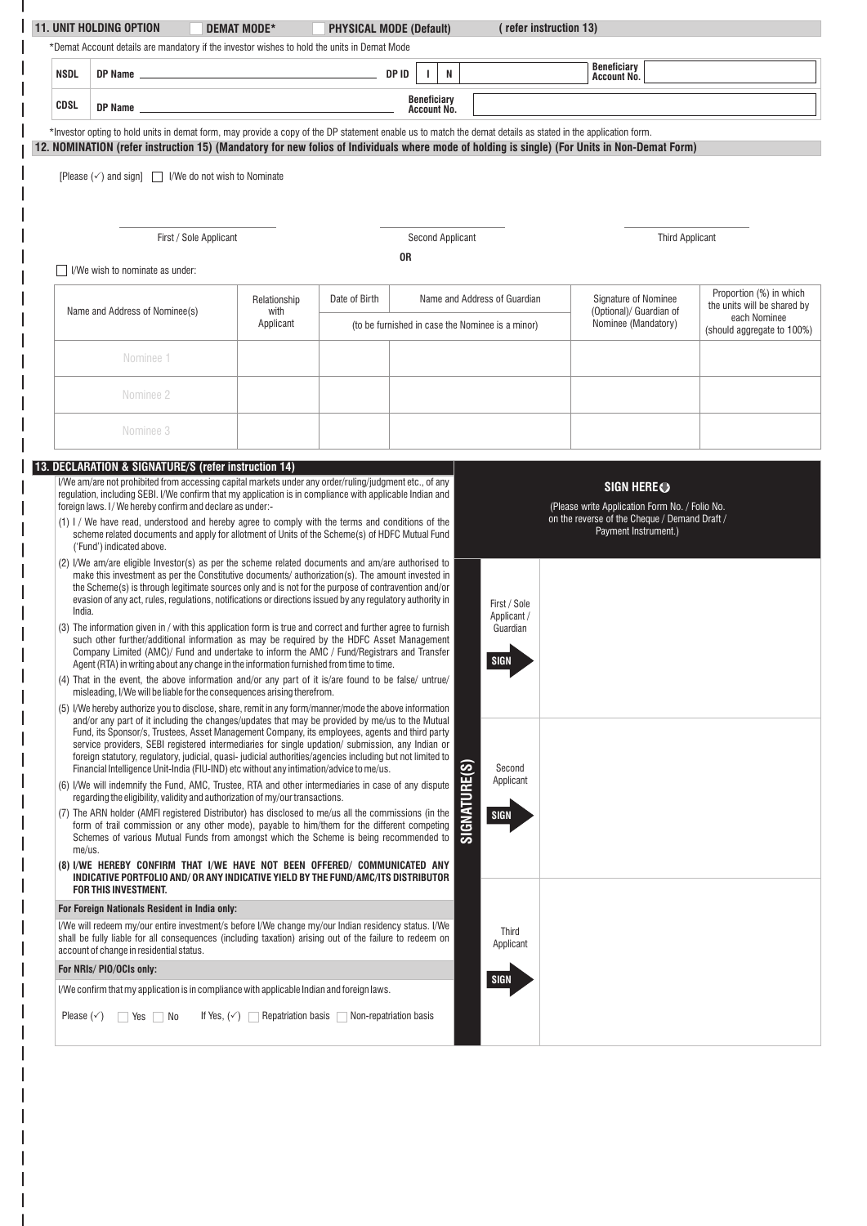| *Demat Account details are mandatory if the investor wishes to hold the units in Demat Mode<br><b>Beneficiary</b><br>DP ID<br>N<br>T.<br><b>NSDL</b><br>Account No.<br><b>Beneficiary</b><br>CDSL<br>DP Name entertainment and the state of the state of the state of the state of the state of the state of the state of the state of the state of the state of the state of the state of the state of the state of the state of t<br>Account No.<br>*Investor opting to hold units in demat form, may provide a copy of the DP statement enable us to match the demat details as stated in the application form.<br>12. NOMINATION (refer instruction 15) (Mandatory for new folios of Individuals where mode of holding is single) (For Units in Non-Demat Form)<br>[Please $(\checkmark)$ and sign] $\Box$ I/We do not wish to Nominate<br><b>Second Applicant</b><br><b>Third Applicant</b><br>First / Sole Applicant<br>0R<br>I/We wish to nominate as under:<br>Proportion (%) in which<br>Date of Birth<br>Name and Address of Guardian<br>Signature of Nominee<br>Relationship<br>Name and Address of Nominee(s)<br>(Optional)/ Guardian of<br>with<br>each Nominee<br>Nominee (Mandatory)<br>Applicant<br>(to be furnished in case the Nominee is a minor)<br>Nominee 1<br>Nominee 2<br>Nominee 3<br>13. DECLARATION & SIGNATURE/S (refer instruction 14)<br>I/We am/are not prohibited from accessing capital markets under any order/ruling/judgment etc., of any<br>SIGN HERE <sup>O</sup><br>regulation, including SEBI. I/We confirm that my application is in compliance with applicable Indian and<br>foreign laws. I/We hereby confirm and declare as under:-<br>(Please write Application Form No. / Folio No.<br>on the reverse of the Cheque / Demand Draft /<br>(1) I / We have read, understood and hereby agree to comply with the terms and conditions of the<br>Payment Instrument.)<br>scheme related documents and apply for allotment of Units of the Scheme(s) of HDFC Mutual Fund<br>('Fund') indicated above.<br>(2) I/We am/are eligible Investor(s) as per the scheme related documents and am/are authorised to<br>make this investment as per the Constitutive documents/ authorization(s). The amount invested in<br>the Scheme(s) is through legitimate sources only and is not for the purpose of contravention and/or<br>evasion of any act, rules, regulations, notifications or directions issued by any regulatory authority in<br>First / Sole<br>India.<br>Applicant /<br>(3) The information given in / with this application form is true and correct and further agree to furnish<br>Guardian<br>such other further/additional information as may be required by the HDFC Asset Management<br>Company Limited (AMC)/ Fund and undertake to inform the AMC / Fund/Registrars and Transfer<br><b>SIGN</b><br>Agent (RTA) in writing about any change in the information furnished from time to time.<br>(4) That in the event, the above information and/or any part of it is/are found to be false/ untrue/<br>misleading, I/We will be liable for the consequences arising therefrom.<br>(5) I/We hereby authorize you to disclose, share, remit in any form/manner/mode the above information<br>and/or any part of it including the changes/updates that may be provided by me/us to the Mutual<br>Fund, its Sponsor/s, Trustees, Asset Management Company, its employees, agents and third party<br>service providers, SEBI registered intermediaries for single updation/ submission, any Indian or<br>foreign statutory, regulatory, judicial, quasi- judicial authorities/agencies including but not limited to<br>SIGNATURE(S)<br>Financial Intelligence Unit-India (FIU-IND) etc without any intimation/advice to me/us.<br>Second<br>Applicant<br>(6) I/We will indemnify the Fund, AMC, Trustee, RTA and other intermediaries in case of any dispute<br>regarding the eligibility, validity and authorization of my/our transactions.<br>(7) The ARN holder (AMFI registered Distributor) has disclosed to me/us all the commissions (in the<br><b>SIGN</b><br>form of trail commission or any other mode), payable to him/them for the different competing<br>Schemes of various Mutual Funds from amongst which the Scheme is being recommended to<br>me/us.<br>(8) I/WE HEREBY CONFIRM THAT I/WE HAVE NOT BEEN OFFERED/ COMMUNICATED ANY<br>INDICATIVE PORTFOLIO AND/ OR ANY INDICATIVE YIELD BY THE FUND/AMC/ITS DISTRIBUTOR<br>FOR THIS INVESTMENT.<br>For Foreign Nationals Resident in India only:<br>I/We will redeem my/our entire investment/s before I/We change my/our Indian residency status. I/We<br>Third<br>shall be fully liable for all consequences (including taxation) arising out of the failure to redeem on<br>Applicant<br>account of change in residential status.<br>For NRIs/PIO/OCIs only:<br><b>SIGN</b><br>I/We confirm that my application is in compliance with applicable Indian and foreign laws.<br>If Yes, $(\checkmark)$ Repatriation basis $\Box$ Non-repatriation basis<br>Please $(\check{\phantom{e}})$ $\Box$ Yes $\Box$ No | <b>11. UNIT HOLDING OPTION</b> | DEMAT MODE* | <b>PHYSICAL MODE (Default)</b> |  | (refer instruction 13) |                             |
|-----------------------------------------------------------------------------------------------------------------------------------------------------------------------------------------------------------------------------------------------------------------------------------------------------------------------------------------------------------------------------------------------------------------------------------------------------------------------------------------------------------------------------------------------------------------------------------------------------------------------------------------------------------------------------------------------------------------------------------------------------------------------------------------------------------------------------------------------------------------------------------------------------------------------------------------------------------------------------------------------------------------------------------------------------------------------------------------------------------------------------------------------------------------------------------------------------------------------------------------------------------------------------------------------------------------------------------------------------------------------------------------------------------------------------------------------------------------------------------------------------------------------------------------------------------------------------------------------------------------------------------------------------------------------------------------------------------------------------------------------------------------------------------------------------------------------------------------------------------------------------------------------------------------------------------------------------------------------------------------------------------------------------------------------------------------------------------------------------------------------------------------------------------------------------------------------------------------------------------------------------------------------------------------------------------------------------------------------------------------------------------------------------------------------------------------------------------------------------------------------------------------------------------------------------------------------------------------------------------------------------------------------------------------------------------------------------------------------------------------------------------------------------------------------------------------------------------------------------------------------------------------------------------------------------------------------------------------------------------------------------------------------------------------------------------------------------------------------------------------------------------------------------------------------------------------------------------------------------------------------------------------------------------------------------------------------------------------------------------------------------------------------------------------------------------------------------------------------------------------------------------------------------------------------------------------------------------------------------------------------------------------------------------------------------------------------------------------------------------------------------------------------------------------------------------------------------------------------------------------------------------------------------------------------------------------------------------------------------------------------------------------------------------------------------------------------------------------------------------------------------------------------------------------------------------------------------------------------------------------------------------------------------------------------------------------------------------------------------------------------------------------------------------------------------------------------------------------------------------------------------------------------------------------------------------------------------------------------------------------------------------------------------------------------------------------------------------------------------------------------------------------------------------------------------------------------------------------------------------------------------------------------------------------------------------------------------------------------------------------------------------------------------------------------------------------------------------------------------------------------------------|--------------------------------|-------------|--------------------------------|--|------------------------|-----------------------------|
|                                                                                                                                                                                                                                                                                                                                                                                                                                                                                                                                                                                                                                                                                                                                                                                                                                                                                                                                                                                                                                                                                                                                                                                                                                                                                                                                                                                                                                                                                                                                                                                                                                                                                                                                                                                                                                                                                                                                                                                                                                                                                                                                                                                                                                                                                                                                                                                                                                                                                                                                                                                                                                                                                                                                                                                                                                                                                                                                                                                                                                                                                                                                                                                                                                                                                                                                                                                                                                                                                                                                                                                                                                                                                                                                                                                                                                                                                                                                                                                                                                                                                                                                                                                                                                                                                                                                                                                                                                                                                                                                                                                                                                                                                                                                                                                                                                                                                                                                                                                                                                                                                                                                   |                                |             |                                |  |                        |                             |
|                                                                                                                                                                                                                                                                                                                                                                                                                                                                                                                                                                                                                                                                                                                                                                                                                                                                                                                                                                                                                                                                                                                                                                                                                                                                                                                                                                                                                                                                                                                                                                                                                                                                                                                                                                                                                                                                                                                                                                                                                                                                                                                                                                                                                                                                                                                                                                                                                                                                                                                                                                                                                                                                                                                                                                                                                                                                                                                                                                                                                                                                                                                                                                                                                                                                                                                                                                                                                                                                                                                                                                                                                                                                                                                                                                                                                                                                                                                                                                                                                                                                                                                                                                                                                                                                                                                                                                                                                                                                                                                                                                                                                                                                                                                                                                                                                                                                                                                                                                                                                                                                                                                                   |                                |             |                                |  |                        |                             |
|                                                                                                                                                                                                                                                                                                                                                                                                                                                                                                                                                                                                                                                                                                                                                                                                                                                                                                                                                                                                                                                                                                                                                                                                                                                                                                                                                                                                                                                                                                                                                                                                                                                                                                                                                                                                                                                                                                                                                                                                                                                                                                                                                                                                                                                                                                                                                                                                                                                                                                                                                                                                                                                                                                                                                                                                                                                                                                                                                                                                                                                                                                                                                                                                                                                                                                                                                                                                                                                                                                                                                                                                                                                                                                                                                                                                                                                                                                                                                                                                                                                                                                                                                                                                                                                                                                                                                                                                                                                                                                                                                                                                                                                                                                                                                                                                                                                                                                                                                                                                                                                                                                                                   |                                |             |                                |  |                        |                             |
|                                                                                                                                                                                                                                                                                                                                                                                                                                                                                                                                                                                                                                                                                                                                                                                                                                                                                                                                                                                                                                                                                                                                                                                                                                                                                                                                                                                                                                                                                                                                                                                                                                                                                                                                                                                                                                                                                                                                                                                                                                                                                                                                                                                                                                                                                                                                                                                                                                                                                                                                                                                                                                                                                                                                                                                                                                                                                                                                                                                                                                                                                                                                                                                                                                                                                                                                                                                                                                                                                                                                                                                                                                                                                                                                                                                                                                                                                                                                                                                                                                                                                                                                                                                                                                                                                                                                                                                                                                                                                                                                                                                                                                                                                                                                                                                                                                                                                                                                                                                                                                                                                                                                   |                                |             |                                |  |                        |                             |
|                                                                                                                                                                                                                                                                                                                                                                                                                                                                                                                                                                                                                                                                                                                                                                                                                                                                                                                                                                                                                                                                                                                                                                                                                                                                                                                                                                                                                                                                                                                                                                                                                                                                                                                                                                                                                                                                                                                                                                                                                                                                                                                                                                                                                                                                                                                                                                                                                                                                                                                                                                                                                                                                                                                                                                                                                                                                                                                                                                                                                                                                                                                                                                                                                                                                                                                                                                                                                                                                                                                                                                                                                                                                                                                                                                                                                                                                                                                                                                                                                                                                                                                                                                                                                                                                                                                                                                                                                                                                                                                                                                                                                                                                                                                                                                                                                                                                                                                                                                                                                                                                                                                                   |                                |             |                                |  |                        |                             |
|                                                                                                                                                                                                                                                                                                                                                                                                                                                                                                                                                                                                                                                                                                                                                                                                                                                                                                                                                                                                                                                                                                                                                                                                                                                                                                                                                                                                                                                                                                                                                                                                                                                                                                                                                                                                                                                                                                                                                                                                                                                                                                                                                                                                                                                                                                                                                                                                                                                                                                                                                                                                                                                                                                                                                                                                                                                                                                                                                                                                                                                                                                                                                                                                                                                                                                                                                                                                                                                                                                                                                                                                                                                                                                                                                                                                                                                                                                                                                                                                                                                                                                                                                                                                                                                                                                                                                                                                                                                                                                                                                                                                                                                                                                                                                                                                                                                                                                                                                                                                                                                                                                                                   |                                |             |                                |  |                        |                             |
|                                                                                                                                                                                                                                                                                                                                                                                                                                                                                                                                                                                                                                                                                                                                                                                                                                                                                                                                                                                                                                                                                                                                                                                                                                                                                                                                                                                                                                                                                                                                                                                                                                                                                                                                                                                                                                                                                                                                                                                                                                                                                                                                                                                                                                                                                                                                                                                                                                                                                                                                                                                                                                                                                                                                                                                                                                                                                                                                                                                                                                                                                                                                                                                                                                                                                                                                                                                                                                                                                                                                                                                                                                                                                                                                                                                                                                                                                                                                                                                                                                                                                                                                                                                                                                                                                                                                                                                                                                                                                                                                                                                                                                                                                                                                                                                                                                                                                                                                                                                                                                                                                                                                   |                                |             |                                |  |                        |                             |
|                                                                                                                                                                                                                                                                                                                                                                                                                                                                                                                                                                                                                                                                                                                                                                                                                                                                                                                                                                                                                                                                                                                                                                                                                                                                                                                                                                                                                                                                                                                                                                                                                                                                                                                                                                                                                                                                                                                                                                                                                                                                                                                                                                                                                                                                                                                                                                                                                                                                                                                                                                                                                                                                                                                                                                                                                                                                                                                                                                                                                                                                                                                                                                                                                                                                                                                                                                                                                                                                                                                                                                                                                                                                                                                                                                                                                                                                                                                                                                                                                                                                                                                                                                                                                                                                                                                                                                                                                                                                                                                                                                                                                                                                                                                                                                                                                                                                                                                                                                                                                                                                                                                                   |                                |             |                                |  |                        |                             |
|                                                                                                                                                                                                                                                                                                                                                                                                                                                                                                                                                                                                                                                                                                                                                                                                                                                                                                                                                                                                                                                                                                                                                                                                                                                                                                                                                                                                                                                                                                                                                                                                                                                                                                                                                                                                                                                                                                                                                                                                                                                                                                                                                                                                                                                                                                                                                                                                                                                                                                                                                                                                                                                                                                                                                                                                                                                                                                                                                                                                                                                                                                                                                                                                                                                                                                                                                                                                                                                                                                                                                                                                                                                                                                                                                                                                                                                                                                                                                                                                                                                                                                                                                                                                                                                                                                                                                                                                                                                                                                                                                                                                                                                                                                                                                                                                                                                                                                                                                                                                                                                                                                                                   |                                |             |                                |  |                        |                             |
|                                                                                                                                                                                                                                                                                                                                                                                                                                                                                                                                                                                                                                                                                                                                                                                                                                                                                                                                                                                                                                                                                                                                                                                                                                                                                                                                                                                                                                                                                                                                                                                                                                                                                                                                                                                                                                                                                                                                                                                                                                                                                                                                                                                                                                                                                                                                                                                                                                                                                                                                                                                                                                                                                                                                                                                                                                                                                                                                                                                                                                                                                                                                                                                                                                                                                                                                                                                                                                                                                                                                                                                                                                                                                                                                                                                                                                                                                                                                                                                                                                                                                                                                                                                                                                                                                                                                                                                                                                                                                                                                                                                                                                                                                                                                                                                                                                                                                                                                                                                                                                                                                                                                   |                                |             |                                |  |                        |                             |
|                                                                                                                                                                                                                                                                                                                                                                                                                                                                                                                                                                                                                                                                                                                                                                                                                                                                                                                                                                                                                                                                                                                                                                                                                                                                                                                                                                                                                                                                                                                                                                                                                                                                                                                                                                                                                                                                                                                                                                                                                                                                                                                                                                                                                                                                                                                                                                                                                                                                                                                                                                                                                                                                                                                                                                                                                                                                                                                                                                                                                                                                                                                                                                                                                                                                                                                                                                                                                                                                                                                                                                                                                                                                                                                                                                                                                                                                                                                                                                                                                                                                                                                                                                                                                                                                                                                                                                                                                                                                                                                                                                                                                                                                                                                                                                                                                                                                                                                                                                                                                                                                                                                                   |                                |             |                                |  |                        |                             |
|                                                                                                                                                                                                                                                                                                                                                                                                                                                                                                                                                                                                                                                                                                                                                                                                                                                                                                                                                                                                                                                                                                                                                                                                                                                                                                                                                                                                                                                                                                                                                                                                                                                                                                                                                                                                                                                                                                                                                                                                                                                                                                                                                                                                                                                                                                                                                                                                                                                                                                                                                                                                                                                                                                                                                                                                                                                                                                                                                                                                                                                                                                                                                                                                                                                                                                                                                                                                                                                                                                                                                                                                                                                                                                                                                                                                                                                                                                                                                                                                                                                                                                                                                                                                                                                                                                                                                                                                                                                                                                                                                                                                                                                                                                                                                                                                                                                                                                                                                                                                                                                                                                                                   |                                |             |                                |  |                        | the units will be shared by |
|                                                                                                                                                                                                                                                                                                                                                                                                                                                                                                                                                                                                                                                                                                                                                                                                                                                                                                                                                                                                                                                                                                                                                                                                                                                                                                                                                                                                                                                                                                                                                                                                                                                                                                                                                                                                                                                                                                                                                                                                                                                                                                                                                                                                                                                                                                                                                                                                                                                                                                                                                                                                                                                                                                                                                                                                                                                                                                                                                                                                                                                                                                                                                                                                                                                                                                                                                                                                                                                                                                                                                                                                                                                                                                                                                                                                                                                                                                                                                                                                                                                                                                                                                                                                                                                                                                                                                                                                                                                                                                                                                                                                                                                                                                                                                                                                                                                                                                                                                                                                                                                                                                                                   |                                |             |                                |  |                        | (should aggregate to 100%)  |
|                                                                                                                                                                                                                                                                                                                                                                                                                                                                                                                                                                                                                                                                                                                                                                                                                                                                                                                                                                                                                                                                                                                                                                                                                                                                                                                                                                                                                                                                                                                                                                                                                                                                                                                                                                                                                                                                                                                                                                                                                                                                                                                                                                                                                                                                                                                                                                                                                                                                                                                                                                                                                                                                                                                                                                                                                                                                                                                                                                                                                                                                                                                                                                                                                                                                                                                                                                                                                                                                                                                                                                                                                                                                                                                                                                                                                                                                                                                                                                                                                                                                                                                                                                                                                                                                                                                                                                                                                                                                                                                                                                                                                                                                                                                                                                                                                                                                                                                                                                                                                                                                                                                                   |                                |             |                                |  |                        |                             |
|                                                                                                                                                                                                                                                                                                                                                                                                                                                                                                                                                                                                                                                                                                                                                                                                                                                                                                                                                                                                                                                                                                                                                                                                                                                                                                                                                                                                                                                                                                                                                                                                                                                                                                                                                                                                                                                                                                                                                                                                                                                                                                                                                                                                                                                                                                                                                                                                                                                                                                                                                                                                                                                                                                                                                                                                                                                                                                                                                                                                                                                                                                                                                                                                                                                                                                                                                                                                                                                                                                                                                                                                                                                                                                                                                                                                                                                                                                                                                                                                                                                                                                                                                                                                                                                                                                                                                                                                                                                                                                                                                                                                                                                                                                                                                                                                                                                                                                                                                                                                                                                                                                                                   |                                |             |                                |  |                        |                             |
|                                                                                                                                                                                                                                                                                                                                                                                                                                                                                                                                                                                                                                                                                                                                                                                                                                                                                                                                                                                                                                                                                                                                                                                                                                                                                                                                                                                                                                                                                                                                                                                                                                                                                                                                                                                                                                                                                                                                                                                                                                                                                                                                                                                                                                                                                                                                                                                                                                                                                                                                                                                                                                                                                                                                                                                                                                                                                                                                                                                                                                                                                                                                                                                                                                                                                                                                                                                                                                                                                                                                                                                                                                                                                                                                                                                                                                                                                                                                                                                                                                                                                                                                                                                                                                                                                                                                                                                                                                                                                                                                                                                                                                                                                                                                                                                                                                                                                                                                                                                                                                                                                                                                   |                                |             |                                |  |                        |                             |
|                                                                                                                                                                                                                                                                                                                                                                                                                                                                                                                                                                                                                                                                                                                                                                                                                                                                                                                                                                                                                                                                                                                                                                                                                                                                                                                                                                                                                                                                                                                                                                                                                                                                                                                                                                                                                                                                                                                                                                                                                                                                                                                                                                                                                                                                                                                                                                                                                                                                                                                                                                                                                                                                                                                                                                                                                                                                                                                                                                                                                                                                                                                                                                                                                                                                                                                                                                                                                                                                                                                                                                                                                                                                                                                                                                                                                                                                                                                                                                                                                                                                                                                                                                                                                                                                                                                                                                                                                                                                                                                                                                                                                                                                                                                                                                                                                                                                                                                                                                                                                                                                                                                                   |                                |             |                                |  |                        |                             |
|                                                                                                                                                                                                                                                                                                                                                                                                                                                                                                                                                                                                                                                                                                                                                                                                                                                                                                                                                                                                                                                                                                                                                                                                                                                                                                                                                                                                                                                                                                                                                                                                                                                                                                                                                                                                                                                                                                                                                                                                                                                                                                                                                                                                                                                                                                                                                                                                                                                                                                                                                                                                                                                                                                                                                                                                                                                                                                                                                                                                                                                                                                                                                                                                                                                                                                                                                                                                                                                                                                                                                                                                                                                                                                                                                                                                                                                                                                                                                                                                                                                                                                                                                                                                                                                                                                                                                                                                                                                                                                                                                                                                                                                                                                                                                                                                                                                                                                                                                                                                                                                                                                                                   |                                |             |                                |  |                        |                             |
|                                                                                                                                                                                                                                                                                                                                                                                                                                                                                                                                                                                                                                                                                                                                                                                                                                                                                                                                                                                                                                                                                                                                                                                                                                                                                                                                                                                                                                                                                                                                                                                                                                                                                                                                                                                                                                                                                                                                                                                                                                                                                                                                                                                                                                                                                                                                                                                                                                                                                                                                                                                                                                                                                                                                                                                                                                                                                                                                                                                                                                                                                                                                                                                                                                                                                                                                                                                                                                                                                                                                                                                                                                                                                                                                                                                                                                                                                                                                                                                                                                                                                                                                                                                                                                                                                                                                                                                                                                                                                                                                                                                                                                                                                                                                                                                                                                                                                                                                                                                                                                                                                                                                   |                                |             |                                |  |                        |                             |
|                                                                                                                                                                                                                                                                                                                                                                                                                                                                                                                                                                                                                                                                                                                                                                                                                                                                                                                                                                                                                                                                                                                                                                                                                                                                                                                                                                                                                                                                                                                                                                                                                                                                                                                                                                                                                                                                                                                                                                                                                                                                                                                                                                                                                                                                                                                                                                                                                                                                                                                                                                                                                                                                                                                                                                                                                                                                                                                                                                                                                                                                                                                                                                                                                                                                                                                                                                                                                                                                                                                                                                                                                                                                                                                                                                                                                                                                                                                                                                                                                                                                                                                                                                                                                                                                                                                                                                                                                                                                                                                                                                                                                                                                                                                                                                                                                                                                                                                                                                                                                                                                                                                                   |                                |             |                                |  |                        |                             |
|                                                                                                                                                                                                                                                                                                                                                                                                                                                                                                                                                                                                                                                                                                                                                                                                                                                                                                                                                                                                                                                                                                                                                                                                                                                                                                                                                                                                                                                                                                                                                                                                                                                                                                                                                                                                                                                                                                                                                                                                                                                                                                                                                                                                                                                                                                                                                                                                                                                                                                                                                                                                                                                                                                                                                                                                                                                                                                                                                                                                                                                                                                                                                                                                                                                                                                                                                                                                                                                                                                                                                                                                                                                                                                                                                                                                                                                                                                                                                                                                                                                                                                                                                                                                                                                                                                                                                                                                                                                                                                                                                                                                                                                                                                                                                                                                                                                                                                                                                                                                                                                                                                                                   |                                |             |                                |  |                        |                             |
|                                                                                                                                                                                                                                                                                                                                                                                                                                                                                                                                                                                                                                                                                                                                                                                                                                                                                                                                                                                                                                                                                                                                                                                                                                                                                                                                                                                                                                                                                                                                                                                                                                                                                                                                                                                                                                                                                                                                                                                                                                                                                                                                                                                                                                                                                                                                                                                                                                                                                                                                                                                                                                                                                                                                                                                                                                                                                                                                                                                                                                                                                                                                                                                                                                                                                                                                                                                                                                                                                                                                                                                                                                                                                                                                                                                                                                                                                                                                                                                                                                                                                                                                                                                                                                                                                                                                                                                                                                                                                                                                                                                                                                                                                                                                                                                                                                                                                                                                                                                                                                                                                                                                   |                                |             |                                |  |                        |                             |
|                                                                                                                                                                                                                                                                                                                                                                                                                                                                                                                                                                                                                                                                                                                                                                                                                                                                                                                                                                                                                                                                                                                                                                                                                                                                                                                                                                                                                                                                                                                                                                                                                                                                                                                                                                                                                                                                                                                                                                                                                                                                                                                                                                                                                                                                                                                                                                                                                                                                                                                                                                                                                                                                                                                                                                                                                                                                                                                                                                                                                                                                                                                                                                                                                                                                                                                                                                                                                                                                                                                                                                                                                                                                                                                                                                                                                                                                                                                                                                                                                                                                                                                                                                                                                                                                                                                                                                                                                                                                                                                                                                                                                                                                                                                                                                                                                                                                                                                                                                                                                                                                                                                                   |                                |             |                                |  |                        |                             |
|                                                                                                                                                                                                                                                                                                                                                                                                                                                                                                                                                                                                                                                                                                                                                                                                                                                                                                                                                                                                                                                                                                                                                                                                                                                                                                                                                                                                                                                                                                                                                                                                                                                                                                                                                                                                                                                                                                                                                                                                                                                                                                                                                                                                                                                                                                                                                                                                                                                                                                                                                                                                                                                                                                                                                                                                                                                                                                                                                                                                                                                                                                                                                                                                                                                                                                                                                                                                                                                                                                                                                                                                                                                                                                                                                                                                                                                                                                                                                                                                                                                                                                                                                                                                                                                                                                                                                                                                                                                                                                                                                                                                                                                                                                                                                                                                                                                                                                                                                                                                                                                                                                                                   |                                |             |                                |  |                        |                             |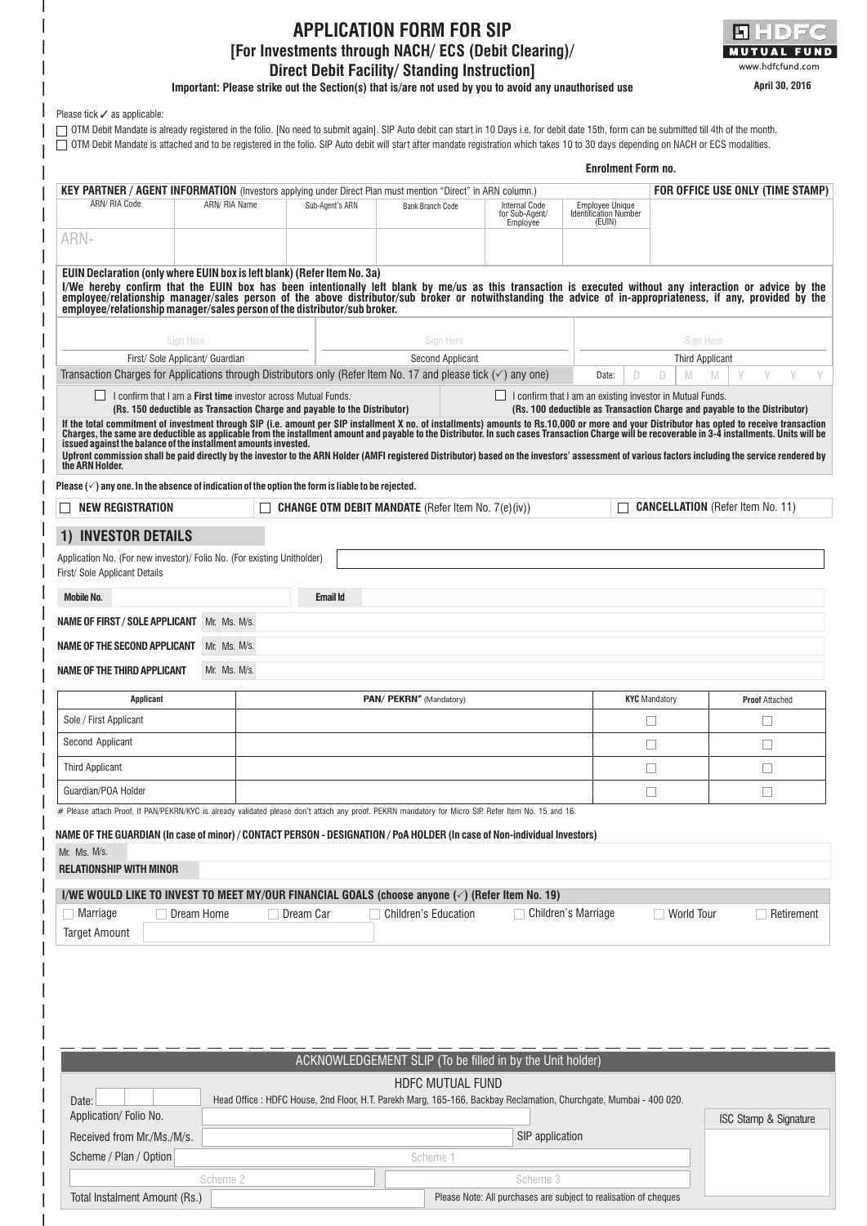## **APPLICATION FORM FOR SIP [For Investments through NACH/ ECS (Debit Clearing)/ Direct Debit Facility/ Standing Instruction]**



**Important: Please strike out the Section(s) that is/are not used by you to avoid any unauthorised use**

|                                                                                                                                                                                                                                                                                                                                                                                                                                                                                                                             |                                 |                                                                                                                    |                                                           |                                                    | <b>Enrolment Form no.</b>                                        |                      |                                                                           |
|-----------------------------------------------------------------------------------------------------------------------------------------------------------------------------------------------------------------------------------------------------------------------------------------------------------------------------------------------------------------------------------------------------------------------------------------------------------------------------------------------------------------------------|---------------------------------|--------------------------------------------------------------------------------------------------------------------|-----------------------------------------------------------|----------------------------------------------------|------------------------------------------------------------------|----------------------|---------------------------------------------------------------------------|
| <b>KEY PARTNER / AGENT INFORMATION</b> (Investors applying under Direct Plan must mention "Direct" in ARN column.)                                                                                                                                                                                                                                                                                                                                                                                                          |                                 |                                                                                                                    |                                                           |                                                    |                                                                  |                      | FOR OFFICE USE ONLY (TIME STAMP)                                          |
| ARN/ RIA Code                                                                                                                                                                                                                                                                                                                                                                                                                                                                                                               | ARN/ RIA Name                   | Sub-Agent's ARN                                                                                                    | <b>Bank Branch Code</b>                                   | <b>Internal Code</b><br>for Sub-Agent/<br>Employee | <b>Employee Unique</b><br><b>Identification Number</b><br>(EUIN) |                      |                                                                           |
| ARN-                                                                                                                                                                                                                                                                                                                                                                                                                                                                                                                        |                                 |                                                                                                                    |                                                           |                                                    |                                                                  |                      |                                                                           |
| EUIN Declaration (only where EUIN box is left blank) (Refer Item No. 3a)<br>I/We hereby confirm that the EUIN box has been intentionally left blank by me/us as this transaction is executed without any interaction or advice by the<br>employee/relationship manager/sales person of the above distributor/sub broker or notwithstanding the advice of in-appropriateness, if any, provided by the<br>employee/relationship manager/sales person of the distributor/sub broker.                                           |                                 |                                                                                                                    |                                                           |                                                    |                                                                  |                      |                                                                           |
|                                                                                                                                                                                                                                                                                                                                                                                                                                                                                                                             | Sign Here                       |                                                                                                                    | Sign Here                                                 |                                                    |                                                                  | Sign Here            |                                                                           |
|                                                                                                                                                                                                                                                                                                                                                                                                                                                                                                                             | First/ Sole Applicant/ Guardian |                                                                                                                    | <b>Second Applicant</b>                                   |                                                    |                                                                  | Third Applicant      |                                                                           |
| Transaction Charges for Applications through Distributors only (Refer Item No. 17 and please tick $(\checkmark)$ any one)                                                                                                                                                                                                                                                                                                                                                                                                   |                                 |                                                                                                                    |                                                           |                                                    | D<br>Date:                                                       | D<br>M               | M                                                                         |
| If the total commitment of investment through SIP (i.e. amount per SIP installment X no. of installments) amounts to Rs.10,000 or more and your Distributor has opted to receive transaction<br>Charges, the same are deductible<br>issued against the balance of the installment amounts invested.<br>Upfront commission shall be paid directly by the investor to the ARN Holder (AMFI registered Distributor) based on the investors' assessment of various factors including the service rendered by<br>the ARN Holder. |                                 | (Rs. 150 deductible as Transaction Charge and payable to the Distributor)                                          |                                                           |                                                    |                                                                  |                      | (Rs. 100 deductible as Transaction Charge and payable to the Distributor) |
| Please $(\check{ } )$ any one. In the absence of indication of the option the form is liable to be rejected.                                                                                                                                                                                                                                                                                                                                                                                                                |                                 |                                                                                                                    |                                                           |                                                    |                                                                  |                      |                                                                           |
| <b>NEW REGISTRATION</b>                                                                                                                                                                                                                                                                                                                                                                                                                                                                                                     |                                 |                                                                                                                    | <b>CHANGE OTM DEBIT MANDATE</b> (Refer Item No. 7(e)(iv)) |                                                    |                                                                  |                      | <b>CANCELLATION</b> (Refer Item No. 11)                                   |
| <b>INVESTOR DETAILS</b>                                                                                                                                                                                                                                                                                                                                                                                                                                                                                                     |                                 |                                                                                                                    |                                                           |                                                    |                                                                  |                      |                                                                           |
| Application No. (For new investor)/ Folio No. (For existing Unitholder)<br>First/ Sole Applicant Details                                                                                                                                                                                                                                                                                                                                                                                                                    |                                 |                                                                                                                    |                                                           |                                                    |                                                                  |                      |                                                                           |
| <b>Mobile No.</b>                                                                                                                                                                                                                                                                                                                                                                                                                                                                                                           |                                 | <b>Email Id</b>                                                                                                    |                                                           |                                                    |                                                                  |                      |                                                                           |
| <b>NAME OF FIRST / SOLE APPLICANT</b>                                                                                                                                                                                                                                                                                                                                                                                                                                                                                       | Mr. Ms. M/s.                    |                                                                                                                    |                                                           |                                                    |                                                                  |                      |                                                                           |
| <b>NAME OF THE SECOND APPLICANT</b>                                                                                                                                                                                                                                                                                                                                                                                                                                                                                         | Mr. Ms. M/s.                    |                                                                                                                    |                                                           |                                                    |                                                                  |                      |                                                                           |
| <b>NAME OF THE THIRD APPLICANT</b>                                                                                                                                                                                                                                                                                                                                                                                                                                                                                          | Mr. Ms. M/s.                    |                                                                                                                    |                                                           |                                                    |                                                                  |                      |                                                                           |
| <b>Applicant</b>                                                                                                                                                                                                                                                                                                                                                                                                                                                                                                            |                                 |                                                                                                                    | PAN/ PEKRN <sup>*</sup> (Mandatory)                       |                                                    |                                                                  | <b>KYC</b> Mandatory | <b>Proof Attached</b>                                                     |
| Sole / First Applicant                                                                                                                                                                                                                                                                                                                                                                                                                                                                                                      |                                 |                                                                                                                    |                                                           |                                                    |                                                                  |                      |                                                                           |
| Second Applicant                                                                                                                                                                                                                                                                                                                                                                                                                                                                                                            |                                 |                                                                                                                    |                                                           |                                                    |                                                                  |                      |                                                                           |
| <b>Third Applicant</b>                                                                                                                                                                                                                                                                                                                                                                                                                                                                                                      |                                 |                                                                                                                    |                                                           |                                                    |                                                                  | $\Box$               | $\Box$                                                                    |
| Guardian/POA Holder                                                                                                                                                                                                                                                                                                                                                                                                                                                                                                         |                                 |                                                                                                                    |                                                           |                                                    |                                                                  | $\Box$               | ⊔                                                                         |
| # Please attach Proof. If PAN/PEKRN/KYC is already validated please don't attach any proof. PEKRN mandatory for Micro SIP. Refer Item No. 15 and 16.                                                                                                                                                                                                                                                                                                                                                                        |                                 |                                                                                                                    |                                                           |                                                    |                                                                  |                      |                                                                           |
| NAME OF THE GUARDIAN (In case of minor) / CONTACT PERSON - DESIGNATION / PoA HOLDER (In case of Non-individual Investors)<br>Mr. Ms. M/s.<br><b>RELATIONSHIP WITH MINOR</b>                                                                                                                                                                                                                                                                                                                                                 |                                 |                                                                                                                    |                                                           |                                                    |                                                                  |                      |                                                                           |
| I/WE WOULD LIKE TO INVEST TO MEET MY/OUR FINANCIAL GOALS (choose anyone $(\check{\phantom{e}})$ (Refer Item No. 19)<br>$\top$ Marriage                                                                                                                                                                                                                                                                                                                                                                                      | Dream Home                      | Dream Car                                                                                                          | Children's Education                                      |                                                    | Children's Marriage                                              | $\Box$ World Tour    | Retirement                                                                |
| <b>Target Amount</b>                                                                                                                                                                                                                                                                                                                                                                                                                                                                                                        |                                 |                                                                                                                    |                                                           |                                                    |                                                                  |                      |                                                                           |
|                                                                                                                                                                                                                                                                                                                                                                                                                                                                                                                             |                                 |                                                                                                                    |                                                           |                                                    |                                                                  |                      |                                                                           |
|                                                                                                                                                                                                                                                                                                                                                                                                                                                                                                                             |                                 |                                                                                                                    |                                                           |                                                    |                                                                  |                      |                                                                           |
|                                                                                                                                                                                                                                                                                                                                                                                                                                                                                                                             |                                 |                                                                                                                    |                                                           |                                                    |                                                                  |                      |                                                                           |
|                                                                                                                                                                                                                                                                                                                                                                                                                                                                                                                             |                                 |                                                                                                                    |                                                           |                                                    |                                                                  |                      |                                                                           |
|                                                                                                                                                                                                                                                                                                                                                                                                                                                                                                                             |                                 |                                                                                                                    |                                                           |                                                    |                                                                  |                      |                                                                           |
|                                                                                                                                                                                                                                                                                                                                                                                                                                                                                                                             |                                 |                                                                                                                    | ACKNOWLEDGEMENT SLIP (To be filled in by the Unit holder) |                                                    |                                                                  |                      |                                                                           |
| Date:                                                                                                                                                                                                                                                                                                                                                                                                                                                                                                                       |                                 | Head Office : HDFC House, 2nd Floor, H.T. Parekh Marg, 165-166, Backbay Reclamation, Churchgate, Mumbai - 400 020. | <b>HDFC MUTUAL FUND</b>                                   |                                                    |                                                                  |                      |                                                                           |

| <b>ADDINATION</b> FUILD NO.   |          |                                                                  | ISC Stamp & Signature |
|-------------------------------|----------|------------------------------------------------------------------|-----------------------|
| Received from Mr./Ms./M/s.    |          | SIP application                                                  |                       |
| Scheme / Plan / Option        |          | Scheme 1                                                         |                       |
|                               | Scheme 2 | Scheme 3                                                         |                       |
| Total Instalment Amount (Rs.) |          | Please Note: All purchases are subject to realisation of cheques |                       |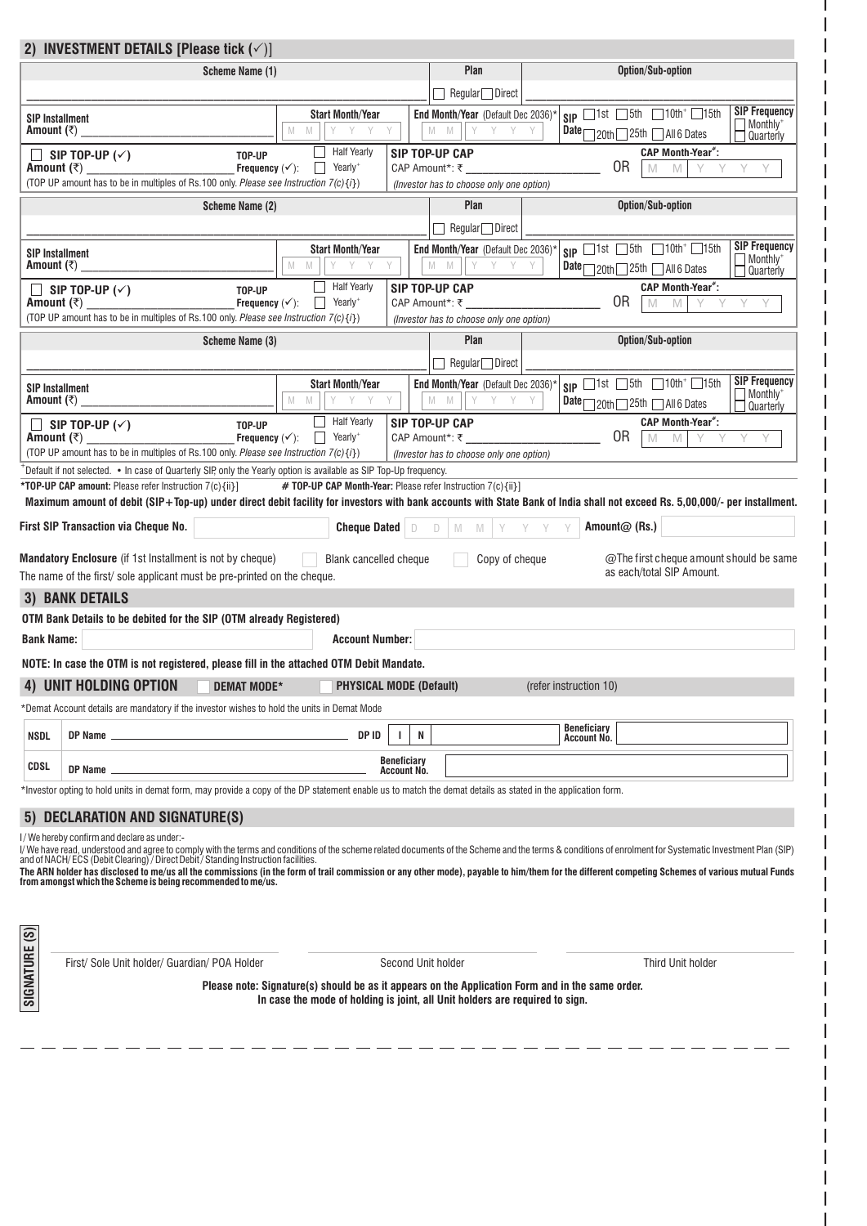|                       | 2) INVESTMENT DETAILS [Please tick $(\checkmark)$ ]                                                                                                          |                                                                                                                                                                                                                                                       |                                                                                                                                                                                  |                                   |                                                                              |                                   |                                                                                                                                                                                                                                                                                                                                                                                                                                     |
|-----------------------|--------------------------------------------------------------------------------------------------------------------------------------------------------------|-------------------------------------------------------------------------------------------------------------------------------------------------------------------------------------------------------------------------------------------------------|----------------------------------------------------------------------------------------------------------------------------------------------------------------------------------|-----------------------------------|------------------------------------------------------------------------------|-----------------------------------|-------------------------------------------------------------------------------------------------------------------------------------------------------------------------------------------------------------------------------------------------------------------------------------------------------------------------------------------------------------------------------------------------------------------------------------|
|                       |                                                                                                                                                              | Scheme Name (1)                                                                                                                                                                                                                                       |                                                                                                                                                                                  |                                   | Plan                                                                         |                                   | Option/Sub-option                                                                                                                                                                                                                                                                                                                                                                                                                   |
|                       |                                                                                                                                                              |                                                                                                                                                                                                                                                       |                                                                                                                                                                                  |                                   | Regular Direct                                                               |                                   |                                                                                                                                                                                                                                                                                                                                                                                                                                     |
| Amount (₹)            | <b>SIP Installment</b>                                                                                                                                       |                                                                                                                                                                                                                                                       | <b>Start Month/Year</b><br>Y<br>M<br>M<br>Y                                                                                                                                      |                                   | End Month/Year (Default Dec 2036)*<br>M<br>M<br>Y<br>Y                       | Y                                 | <b>SIP Frequency</b><br>$SIP$ $1st$ $5th$ $10th$ $1$<br>Monthly <sup>+</sup><br>Date 20th 25th 4 All 6 Dates<br>Quarterly                                                                                                                                                                                                                                                                                                           |
| Amount $($ ₹ $)$      | SIP TOP-UP $(\checkmark)$                                                                                                                                    | TOP-UP<br>Frequency $(\checkmark)$ :                                                                                                                                                                                                                  | <b>Half Yearly</b><br>Yearly <sup>+</sup>                                                                                                                                        | CAP Amount*: ₹_                   | SIP TOP-UP CAP                                                               |                                   | <b>CAP Month-Year*:</b><br>0R<br>M<br>M                                                                                                                                                                                                                                                                                                                                                                                             |
|                       | (TOP UP amount has to be in multiples of Rs.100 only. Please see Instruction 7(c) {i})                                                                       |                                                                                                                                                                                                                                                       |                                                                                                                                                                                  |                                   | (Investor has to choose only one option)                                     |                                   |                                                                                                                                                                                                                                                                                                                                                                                                                                     |
|                       |                                                                                                                                                              | Scheme Name (2)                                                                                                                                                                                                                                       |                                                                                                                                                                                  |                                   | Plan<br>$Regular \Box$ Direct                                                |                                   | Option/Sub-option                                                                                                                                                                                                                                                                                                                                                                                                                   |
| Amount $(₹)$          | <b>SIP Installment</b>                                                                                                                                       |                                                                                                                                                                                                                                                       | <b>Start Month/Year</b><br>M<br>M<br>Y Y                                                                                                                                         |                                   | End Month/Year (Default Dec 2036)*<br>M<br><b>M</b><br>Y Y                   | Y                                 | <b>SIP Frequency</b><br>$SIP$ $Ist$ $J5th$ $I0th$ $I15th$<br>Monthly <sup>+</sup><br>Date 20th 25th 4 All 6 Dates<br>Quarterly                                                                                                                                                                                                                                                                                                      |
| Amount $(\bar{\tau})$ | SIP TOP-UP $(\checkmark)$<br>(TOP UP amount has to be in multiples of Rs.100 only. Please see Instruction 7(c) {i})                                          | TOP-UP<br>Frequency $(\checkmark)$ :                                                                                                                                                                                                                  | <b>Half Yearly</b><br>Yearly <sup>+</sup>                                                                                                                                        |                                   | SIP TOP-UP CAP<br>CAP Amount*: ₹<br>(Investor has to choose only one option) |                                   | <b>CAP Month-Year*:</b><br>0R<br>Y<br>M<br>M                                                                                                                                                                                                                                                                                                                                                                                        |
|                       |                                                                                                                                                              | Scheme Name (3)                                                                                                                                                                                                                                       |                                                                                                                                                                                  |                                   | Plan<br>$\Box$ Regular $\Box$ Direct                                         |                                   | Option/Sub-option                                                                                                                                                                                                                                                                                                                                                                                                                   |
|                       |                                                                                                                                                              |                                                                                                                                                                                                                                                       | <b>Start Month/Year</b>                                                                                                                                                          |                                   | End Month/Year (Default Dec 2036)*                                           |                                   | <b>SIP Frequency</b><br>$SIP$ $1st$ $5th$ $10th$ <sup>+</sup> $15th$                                                                                                                                                                                                                                                                                                                                                                |
| Amount $(\bar{z})$    | <b>SIP Installment</b>                                                                                                                                       |                                                                                                                                                                                                                                                       | M<br>Y<br>M<br>Y                                                                                                                                                                 |                                   | M<br>M<br>Y Y                                                                |                                   | Monthly <sup>+</sup><br>Date 20th 25th 4II 6 Dates<br>Quarterly                                                                                                                                                                                                                                                                                                                                                                     |
| Amount $(\bar{z})$    | SIP TOP-UP $(\check{y})$<br>(TOP UP amount has to be in multiples of Rs.100 only. Please see Instruction 7(c) {i})                                           | TOP-UP<br>Frequency $(\checkmark)$ :                                                                                                                                                                                                                  | <b>Half Yearly</b><br>$\overline{\phantom{a}}$ Yearly <sup>+</sup>                                                                                                               |                                   | SIP TOP-UP CAP<br>CAP Amount*: ₹                                             |                                   | <b>CAP Month-Year*:</b><br>0R<br>M<br>M                                                                                                                                                                                                                                                                                                                                                                                             |
|                       | Default if not selected. • In case of Quarterly SIP, only the Yearly option is available as SIP Top-Up frequency.                                            |                                                                                                                                                                                                                                                       |                                                                                                                                                                                  |                                   | (Investor has to choose only one option)                                     |                                   |                                                                                                                                                                                                                                                                                                                                                                                                                                     |
|                       | *TOP-UP CAP amount: Please refer Instruction 7(c){ii}]                                                                                                       |                                                                                                                                                                                                                                                       | # TOP-UP CAP Month-Year: Please refer Instruction 7(c){ii}]                                                                                                                      |                                   |                                                                              |                                   |                                                                                                                                                                                                                                                                                                                                                                                                                                     |
|                       |                                                                                                                                                              |                                                                                                                                                                                                                                                       |                                                                                                                                                                                  |                                   |                                                                              |                                   | Maximum amount of debit (SIP+Top-up) under direct debit facility for investors with bank accounts with State Bank of India shall not exceed Rs. 5,00,000/- per installment.                                                                                                                                                                                                                                                         |
|                       | <b>First SIP Transaction via Cheque No.</b>                                                                                                                  |                                                                                                                                                                                                                                                       | <b>Cheque Dated</b>                                                                                                                                                              | D                                 | M<br>Ð<br>- M                                                                |                                   | Amount@ (Rs.)                                                                                                                                                                                                                                                                                                                                                                                                                       |
|                       | Mandatory Enclosure (if 1st Installment is not by cheque)<br>The name of the first/sole applicant must be pre-printed on the cheque.                         |                                                                                                                                                                                                                                                       | Blank cancelled cheque                                                                                                                                                           |                                   | Copy of cheque                                                               |                                   | @The first cheque amount should be same<br>as each/total SIP Amount.                                                                                                                                                                                                                                                                                                                                                                |
|                       | <b>3) BANK DETAILS</b>                                                                                                                                       |                                                                                                                                                                                                                                                       |                                                                                                                                                                                  |                                   |                                                                              |                                   |                                                                                                                                                                                                                                                                                                                                                                                                                                     |
|                       | OTM Bank Details to be debited for the SIP (OTM already Registered)                                                                                          |                                                                                                                                                                                                                                                       |                                                                                                                                                                                  |                                   |                                                                              |                                   |                                                                                                                                                                                                                                                                                                                                                                                                                                     |
| <b>Bank Name:</b>     |                                                                                                                                                              |                                                                                                                                                                                                                                                       | <b>Account Number:</b>                                                                                                                                                           |                                   |                                                                              |                                   |                                                                                                                                                                                                                                                                                                                                                                                                                                     |
|                       | NOTE: In case the OTM is not registered, please fill in the attached OTM Debit Mandate.                                                                      |                                                                                                                                                                                                                                                       |                                                                                                                                                                                  |                                   |                                                                              |                                   |                                                                                                                                                                                                                                                                                                                                                                                                                                     |
|                       | 4) UNIT HOLDING OPTION                                                                                                                                       | DEMAT MODE*                                                                                                                                                                                                                                           | <b>PHYSICAL MODE (Default)</b>                                                                                                                                                   |                                   |                                                                              | (refer instruction 10)            |                                                                                                                                                                                                                                                                                                                                                                                                                                     |
|                       | *Demat Account details are mandatory if the investor wishes to hold the units in Demat Mode                                                                  |                                                                                                                                                                                                                                                       |                                                                                                                                                                                  |                                   |                                                                              |                                   |                                                                                                                                                                                                                                                                                                                                                                                                                                     |
| <b>NSDL</b>           | DP Name _                                                                                                                                                    | $\mathcal{L}^{\mathcal{L}}(\mathcal{L}^{\mathcal{L}})$ and the set of the set of the set of the set of the set of the set of the set of the set of the set of the set of the set of the set of the set of the set of the set of the set of the set of | DP ID                                                                                                                                                                            | N<br>÷.                           |                                                                              | <b>Beneficiary</b><br>Account No. |                                                                                                                                                                                                                                                                                                                                                                                                                                     |
| CDSL                  | DP Name $\equiv$                                                                                                                                             |                                                                                                                                                                                                                                                       |                                                                                                                                                                                  | <b>Beneficiary</b><br>Account No. |                                                                              |                                   |                                                                                                                                                                                                                                                                                                                                                                                                                                     |
|                       | *Investor opting to hold units in demat form, may provide a copy of the DP statement enable us to match the demat details as stated in the application form. |                                                                                                                                                                                                                                                       |                                                                                                                                                                                  |                                   |                                                                              |                                   |                                                                                                                                                                                                                                                                                                                                                                                                                                     |
|                       | 5) DECLARATION AND SIGNATURE(S)                                                                                                                              |                                                                                                                                                                                                                                                       |                                                                                                                                                                                  |                                   |                                                                              |                                   |                                                                                                                                                                                                                                                                                                                                                                                                                                     |
|                       | I/We hereby confirm and declare as under:-<br>from amongst which the Scheme is being recommended to me/us.                                                   |                                                                                                                                                                                                                                                       |                                                                                                                                                                                  |                                   |                                                                              |                                   | l/ We have read, understood and agree to comply with the terms and conditions of the scheme related documents of the Scheme and the terms & conditions of enrolment for Systematic Investment Plan (SIP)<br>and of NACH/ECS (Debi<br>The ARN holder has disclosed to me/us all the commissions (in the form of trail commission or any other mode), payable to him/them for the different competing Schemes of various mutual Funds |
|                       |                                                                                                                                                              |                                                                                                                                                                                                                                                       |                                                                                                                                                                                  |                                   |                                                                              |                                   |                                                                                                                                                                                                                                                                                                                                                                                                                                     |
|                       | First/ Sole Unit holder/ Guardian/ POA Holder                                                                                                                |                                                                                                                                                                                                                                                       |                                                                                                                                                                                  | Second Unit holder                |                                                                              |                                   | Third Unit holder                                                                                                                                                                                                                                                                                                                                                                                                                   |
| <b>SIGNATURE (S)</b>  |                                                                                                                                                              |                                                                                                                                                                                                                                                       | Please note: Signature(s) should be as it appears on the Application Form and in the same order.<br>In case the mode of holding is joint, all Unit holders are required to sign. |                                   |                                                                              |                                   |                                                                                                                                                                                                                                                                                                                                                                                                                                     |
|                       |                                                                                                                                                              |                                                                                                                                                                                                                                                       |                                                                                                                                                                                  |                                   |                                                                              |                                   |                                                                                                                                                                                                                                                                                                                                                                                                                                     |

 $\overline{\phantom{a}}$  $\overline{\phantom{a}}$ 

I  $\overline{\phantom{a}}$  $\overline{\phantom{a}}$ I  $\overline{\phantom{a}}$ 

I  $\overline{\phantom{a}}$  $\overline{\phantom{a}}$ I I  $\overline{\phantom{a}}$  $\overline{\phantom{a}}$ I  $\overline{\phantom{a}}$  $\overline{\phantom{a}}$  $\overline{\phantom{a}}$  $\overline{\phantom{a}}$  $\overline{\phantom{a}}$ 

 $\overline{\phantom{a}}$  $\overline{\phantom{a}}$  $\overline{\phantom{a}}$  $\overline{\phantom{a}}$ I  $\overline{\phantom{a}}$  $\overline{\phantom{a}}$  $\overline{\phantom{a}}$  $\overline{\phantom{a}}$  $\overline{\phantom{a}}$ 

 $\overline{\phantom{a}}$  $\overline{\phantom{a}}$ I  $\overline{\phantom{a}}$  $\overline{\phantom{a}}$ I I  $\overline{\phantom{a}}$  $\overline{\phantom{a}}$  $\overline{\phantom{a}}$  $\overline{\phantom{a}}$  $\overline{\phantom{a}}$